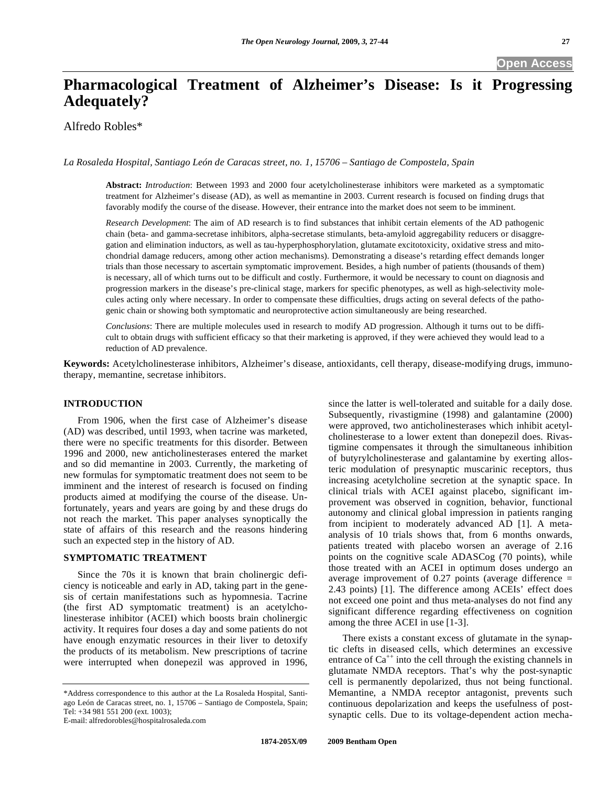# **Pharmacological Treatment of Alzheimer's Disease: Is it Progressing Adequately?**

Alfredo Robles\*

*La Rosaleda Hospital, Santiago León de Caracas street, no. 1, 15706 – Santiago de Compostela, Spain* 

**Abstract:** *Introduction*: Between 1993 and 2000 four acetylcholinesterase inhibitors were marketed as a symptomatic treatment for Alzheimer's disease (AD), as well as memantine in 2003. Current research is focused on finding drugs that favorably modify the course of the disease. However, their entrance into the market does not seem to be imminent.

*Research Development*: The aim of AD research is to find substances that inhibit certain elements of the AD pathogenic chain (beta- and gamma-secretase inhibitors, alpha-secretase stimulants, beta-amyloid aggregability reducers or disaggregation and elimination inductors, as well as tau-hyperphosphorylation, glutamate excitotoxicity, oxidative stress and mitochondrial damage reducers, among other action mechanisms). Demonstrating a disease's retarding effect demands longer trials than those necessary to ascertain symptomatic improvement. Besides, a high number of patients (thousands of them) is necessary, all of which turns out to be difficult and costly. Furthermore, it would be necessary to count on diagnosis and progression markers in the disease's pre-clinical stage, markers for specific phenotypes, as well as high-selectivity molecules acting only where necessary. In order to compensate these difficulties, drugs acting on several defects of the pathogenic chain or showing both symptomatic and neuroprotective action simultaneously are being researched.

*Conclusions*: There are multiple molecules used in research to modify AD progression. Although it turns out to be difficult to obtain drugs with sufficient efficacy so that their marketing is approved, if they were achieved they would lead to a reduction of AD prevalence.

**Keywords:** Acetylcholinesterase inhibitors, Alzheimer's disease, antioxidants, cell therapy, disease-modifying drugs, immunotherapy, memantine, secretase inhibitors.

#### **INTRODUCTION**

 From 1906, when the first case of Alzheimer's disease (AD) was described, until 1993, when tacrine was marketed, there were no specific treatments for this disorder. Between 1996 and 2000, new anticholinesterases entered the market and so did memantine in 2003. Currently, the marketing of new formulas for symptomatic treatment does not seem to be imminent and the interest of research is focused on finding products aimed at modifying the course of the disease. Unfortunately, years and years are going by and these drugs do not reach the market. This paper analyses synoptically the state of affairs of this research and the reasons hindering such an expected step in the history of AD.

# **SYMPTOMATIC TREATMENT**

 Since the 70s it is known that brain cholinergic deficiency is noticeable and early in AD, taking part in the genesis of certain manifestations such as hypomnesia. Tacrine (the first AD symptomatic treatment) is an acetylcholinesterase inhibitor (ACEI) which boosts brain cholinergic activity. It requires four doses a day and some patients do not have enough enzymatic resources in their liver to detoxify the products of its metabolism. New prescriptions of tacrine were interrupted when donepezil was approved in 1996,

since the latter is well-tolerated and suitable for a daily dose. Subsequently, rivastigmine (1998) and galantamine (2000) were approved, two anticholinesterases which inhibit acetylcholinesterase to a lower extent than donepezil does. Rivastigmine compensates it through the simultaneous inhibition of butyrylcholinesterase and galantamine by exerting allosteric modulation of presynaptic muscarinic receptors, thus increasing acetylcholine secretion at the synaptic space. In clinical trials with ACEI against placebo, significant improvement was observed in cognition, behavior, functional autonomy and clinical global impression in patients ranging from incipient to moderately advanced AD [1]. A metaanalysis of 10 trials shows that, from 6 months onwards, patients treated with placebo worsen an average of 2.16 points on the cognitive scale ADASCog (70 points), while those treated with an ACEI in optimum doses undergo an average improvement of 0.27 points (average difference = 2.43 points) [1]. The difference among ACEIs' effect does not exceed one point and thus meta-analyses do not find any significant difference regarding effectiveness on cognition among the three ACEI in use [1-3].

 There exists a constant excess of glutamate in the synaptic clefts in diseased cells, which determines an excessive entrance of  $Ca^{++}$  into the cell through the existing channels in glutamate NMDA receptors. That's why the post-synaptic cell is permanently depolarized, thus not being functional. Memantine, a NMDA receptor antagonist, prevents such continuous depolarization and keeps the usefulness of postsynaptic cells. Due to its voltage-dependent action mecha-

<sup>\*</sup>Address correspondence to this author at the La Rosaleda Hospital, Santiago León de Caracas street, no. 1, 15706 – Santiago de Compostela, Spain; Tel: +34 981 551 200 (ext. 1003);

E-mail: alfredorobles@hospitalrosaleda.com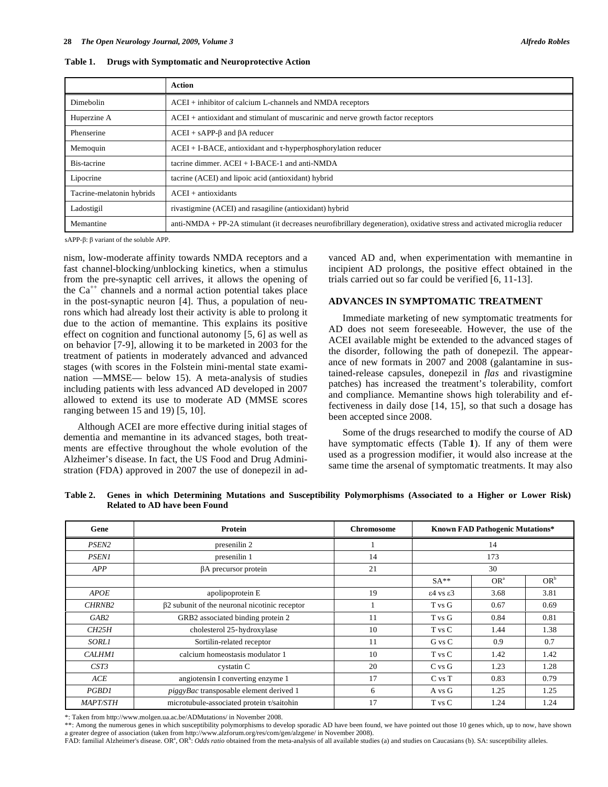|  |  | Table 1. Drugs with Symptomatic and Neuroprotective Action |  |
|--|--|------------------------------------------------------------|--|
|--|--|------------------------------------------------------------|--|

|                           | Action                                                                                                                    |
|---------------------------|---------------------------------------------------------------------------------------------------------------------------|
| Dimebolin                 | $ACEI$ + inhibitor of calcium L-channels and NMDA receptors                                                               |
| Huperzine A               | $ACEI$ + antioxidant and stimulant of muscarinic and nerve growth factor receptors                                        |
| Phenserine                | $ACEI + sAPP-\beta$ and $\beta A$ reducer                                                                                 |
| Memoquin                  | $ACEI + I-BACE$ , antioxidant and $\tau$ -hyperphosphorylation reducer                                                    |
| Bis-tacrine               | tacrine dimmer. ACEI + I-BACE-1 and anti-NMDA                                                                             |
| Lipocrine                 | tacrine (ACEI) and lipoic acid (antioxidant) hybrid                                                                       |
| Tacrine-melatonin hybrids | $ACEI + antioxidants$                                                                                                     |
| Ladostigil                | rivastigmine (ACEI) and rasagiline (antioxidant) hybrid                                                                   |
| Memantine                 | anti-NMDA + PP-2A stimulant (it decreases neurofibrillary degeneration), oxidative stress and activated microglia reducer |

 $sAPP-B: \beta$  variant of the soluble APP.

nism, low-moderate affinity towards NMDA receptors and a fast channel-blocking/unblocking kinetics, when a stimulus from the pre-synaptic cell arrives, it allows the opening of the  $Ca^{++}$  channels and a normal action potential takes place in the post-synaptic neuron [4]. Thus, a population of neurons which had already lost their activity is able to prolong it due to the action of memantine. This explains its positive effect on cognition and functional autonomy [5, 6] as well as on behavior [7-9], allowing it to be marketed in 2003 for the treatment of patients in moderately advanced and advanced stages (with scores in the Folstein mini-mental state examination —MMSE— below 15). A meta-analysis of studies including patients with less advanced AD developed in 2007 allowed to extend its use to moderate AD (MMSE scores ranging between 15 and 19) [5, 10].

 Although ACEI are more effective during initial stages of dementia and memantine in its advanced stages, both treatments are effective throughout the whole evolution of the Alzheimer's disease. In fact, the US Food and Drug Administration (FDA) approved in 2007 the use of donepezil in advanced AD and, when experimentation with memantine in incipient AD prolongs, the positive effect obtained in the trials carried out so far could be verified [6, 11-13].

### **ADVANCES IN SYMPTOMATIC TREATMENT**

 Immediate marketing of new symptomatic treatments for AD does not seem foreseeable. However, the use of the ACEI available might be extended to the advanced stages of the disorder, following the path of donepezil. The appearance of new formats in 2007 and 2008 (galantamine in sustained-release capsules, donepezil in *flas* and rivastigmine patches) has increased the treatment's tolerability, comfort and compliance. Memantine shows high tolerability and effectiveness in daily dose [14, 15], so that such a dosage has been accepted since 2008.

 Some of the drugs researched to modify the course of AD have symptomatic effects (Table **1**). If any of them were used as a progression modifier, it would also increase at the same time the arsenal of symptomatic treatments. It may also

| Genes in which Determining Mutations and Susceptibility Polymorphisms (Associated to a Higher or Lower Risk) |
|--------------------------------------------------------------------------------------------------------------|

| Gene              | Protein                                                 | <b>Chromosome</b> | <b>Known FAD Pathogenic Mutations*</b> |                 |        |
|-------------------|---------------------------------------------------------|-------------------|----------------------------------------|-----------------|--------|
| PSEN <sub>2</sub> | presenilin 2                                            |                   | 14                                     |                 |        |
| <b>PSEN1</b>      | presenilin 1                                            | 14                | 173                                    |                 |        |
| <b>APP</b>        | βA precursor protein                                    | 21                | 30                                     |                 |        |
|                   |                                                         |                   | $SA**$                                 | OR <sup>a</sup> | $OR^b$ |
| <b>APOE</b>       | apolipoprotein E                                        | 19                | $\epsilon$ 4 vs $\epsilon$ 3           | 3.68            | 3.81   |
| <b>CHRNB2</b>     | β2 subunit of the neuronal nicotinic receptor<br>T vs G |                   | 0.67                                   | 0.69            |        |
| GAB2              | GRB2 associated binding protein 2                       | 11                | T vs G                                 | 0.84            | 0.81   |
| CH25H             | cholesterol 25-hydroxylase                              | 10                | T vs C<br>1.44                         |                 | 1.38   |
| <b>SORL1</b>      | Sortilin-related receptor                               | 11                | 0.9<br>0.7<br>G vs C                   |                 |        |
| <b>CALHM1</b>     | calcium homeostasis modulator 1<br>10<br>T vs C<br>1.42 |                   | 1.42                                   |                 |        |
| CST3              | 20<br>cystatin C<br>$C$ vs $G$                          |                   | 1.23                                   | 1.28            |        |
| ACE               | angiotensin I converting enzyme 1                       | 17                | 0.79<br>$C$ vs $T$<br>0.83             |                 |        |
| PGBD1             | piggyBac transposable element derived 1<br>6            |                   | 1.25<br>1.25<br>A vs G                 |                 |        |
| <b>MAPT/STH</b>   | microtubule-associated protein t/saitohin               | 17                | 1.24<br>T vs C<br>1.24                 |                 |        |

\*: Taken from http://www.molgen.ua.ac.be/ADMutations/ in November 2008.

\*\*: Among the numerous genes in which susceptibility polymorphisms to develop sporadic AD have been found, we have pointed out those 10 genes which, up to now, have shown a greater degree of association (taken from http://www.alzforum.org/res/com/gen/alzgene/ in November 2008).

FAD: familial Alzheimer's disease. OR<sup>a</sup>, OR<sup>b</sup>: *Odds ratio* obtained from the meta-analysis of all available studies (a) and studies on Caucasians (b). SA: susceptibility alleles.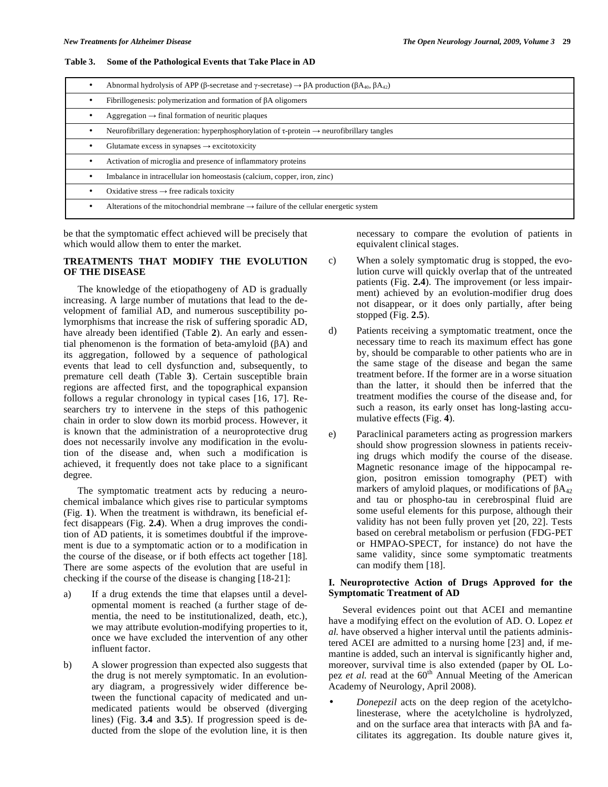#### **Table 3. Some of the Pathological Events that Take Place in AD**

| Abnormal hydrolysis of APP ( $\beta$ -secretase and $\gamma$ -secretase) $\rightarrow \beta A$ production ( $\beta A_{40}$ , $\beta A_{42}$ ) |
|-----------------------------------------------------------------------------------------------------------------------------------------------|
| Fibrillogenesis: polymerization and formation of $\beta A$ oligomers                                                                          |
| Aggregation $\rightarrow$ final formation of neuritic plaques                                                                                 |
| Neurofibrillary degeneration: hyperphosphorylation of $\tau$ -protein $\rightarrow$ neurofibrillary tangles                                   |
| Glutamate excess in synapses $\rightarrow$ excitotoxicity                                                                                     |
| Activation of microglia and presence of inflammatory proteins                                                                                 |
| Imbalance in intracellular ion homeostasis (calcium, copper, iron, zinc)                                                                      |
| Oxidative stress $\rightarrow$ free radicals toxicity                                                                                         |
| Alterations of the mitochondrial membrane $\rightarrow$ failure of the cellular energetic system                                              |

be that the symptomatic effect achieved will be precisely that which would allow them to enter the market.

# **TREATMENTS THAT MODIFY THE EVOLUTION OF THE DISEASE**

 The knowledge of the etiopathogeny of AD is gradually increasing. A large number of mutations that lead to the development of familial AD, and numerous susceptibility polymorphisms that increase the risk of suffering sporadic AD, have already been identified (Table **2**). An early and essential phenomenon is the formation of beta-amyloid  $(\beta A)$  and its aggregation, followed by a sequence of pathological events that lead to cell dysfunction and, subsequently, to premature cell death (Table **3**). Certain susceptible brain regions are affected first, and the topographical expansion follows a regular chronology in typical cases [16, 17]. Researchers try to intervene in the steps of this pathogenic chain in order to slow down its morbid process. However, it is known that the administration of a neuroprotective drug does not necessarily involve any modification in the evolution of the disease and, when such a modification is achieved, it frequently does not take place to a significant degree.

 The symptomatic treatment acts by reducing a neurochemical imbalance which gives rise to particular symptoms (Fig. **1**). When the treatment is withdrawn, its beneficial effect disappears (Fig. **2.4**). When a drug improves the condition of AD patients, it is sometimes doubtful if the improvement is due to a symptomatic action or to a modification in the course of the disease, or if both effects act together [18]. There are some aspects of the evolution that are useful in checking if the course of the disease is changing [18-21]:

- a) If a drug extends the time that elapses until a developmental moment is reached (a further stage of dementia, the need to be institutionalized, death, etc.), we may attribute evolution-modifying properties to it, once we have excluded the intervention of any other influent factor.
- b) A slower progression than expected also suggests that the drug is not merely symptomatic. In an evolutionary diagram, a progressively wider difference between the functional capacity of medicated and unmedicated patients would be observed (diverging lines) (Fig. **3.4** and **3.5**). If progression speed is deducted from the slope of the evolution line, it is then

necessary to compare the evolution of patients in equivalent clinical stages.

- c) When a solely symptomatic drug is stopped, the evolution curve will quickly overlap that of the untreated patients (Fig. **2.4**). The improvement (or less impairment) achieved by an evolution-modifier drug does not disappear, or it does only partially, after being stopped (Fig. **2.5**).
- d) Patients receiving a symptomatic treatment, once the necessary time to reach its maximum effect has gone by, should be comparable to other patients who are in the same stage of the disease and began the same treatment before. If the former are in a worse situation than the latter, it should then be inferred that the treatment modifies the course of the disease and, for such a reason, its early onset has long-lasting accumulative effects (Fig. **4**).
- e) Paraclinical parameters acting as progression markers should show progression slowness in patients receiving drugs which modify the course of the disease. Magnetic resonance image of the hippocampal region, positron emission tomography (PET) with markers of amyloid plaques, or modifications of  $\beta A_{42}$ and tau or phospho-tau in cerebrospinal fluid are some useful elements for this purpose, although their validity has not been fully proven yet [20, 22]. Tests based on cerebral metabolism or perfusion (FDG-PET or HMPAO-SPECT, for instance) do not have the same validity, since some symptomatic treatments can modify them [18].

## **I. Neuroprotective Action of Drugs Approved for the Symptomatic Treatment of AD**

 Several evidences point out that ACEI and memantine have a modifying effect on the evolution of AD. O. Lopez *et al.* have observed a higher interval until the patients administered ACEI are admitted to a nursing home [23] and, if memantine is added, such an interval is significantly higher and, moreover, survival time is also extended (paper by OL Lopez *et al.* read at the 60<sup>th</sup> Annual Meeting of the American Academy of Neurology, April 2008).

• *Donepezil* acts on the deep region of the acetylcholinesterase, where the acetylcholine is hydrolyzed, and on the surface area that interacts with  $\beta A$  and facilitates its aggregation. Its double nature gives it,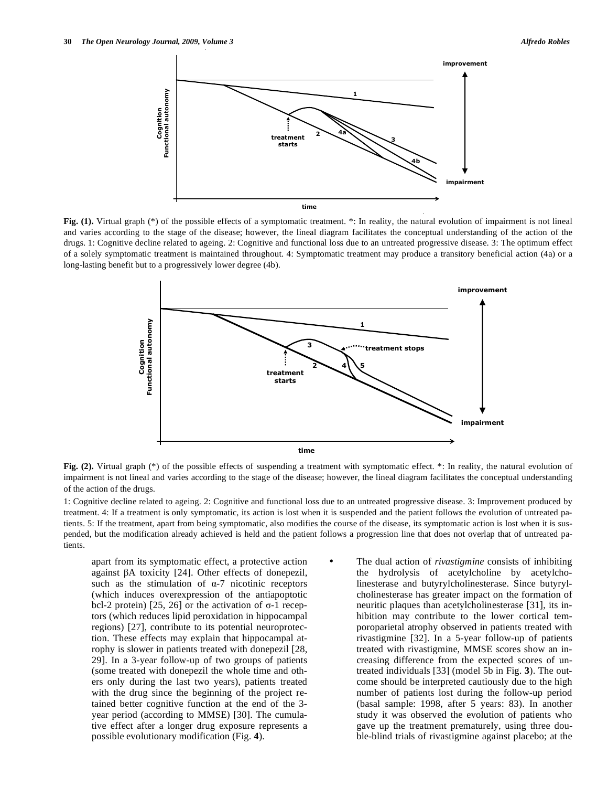

Fig. (1). Virtual graph (\*) of the possible effects of a symptomatic treatment. \*: In reality, the natural evolution of impairment is not lineal and varies according to the stage of the disease; however, the lineal diagram facilitates the conceptual understanding of the action of the drugs. 1: Cognitive decline related to ageing. 2: Cognitive and functional loss due to an untreated progressive disease. 3: The optimum effect of a solely symptomatic treatment is maintained throughout. 4: Symptomatic treatment may produce a transitory beneficial action (4a) or a long-lasting benefit but to a progressively lower degree (4b).



**Fig.** (2). Virtual graph (\*) of the possible effects of suspending a treatment with symptomatic effect. \*: In reality, the natural evolution of impairment is not lineal and varies according to the stage of the disease; however, the lineal diagram facilitates the conceptual understanding of the action of the drugs.

1: Cognitive decline related to ageing. 2: Cognitive and functional loss due to an untreated progressive disease. 3: Improvement produced by treatment. 4: If a treatment is only symptomatic, its action is lost when it is suspended and the patient follows the evolution of untreated patients. 5: If the treatment, apart from being symptomatic, also modifies the course of the disease, its symptomatic action is lost when it is suspended, but the modification already achieved is held and the patient follows a progression line that does not overlap that of untreated patients.

 apart from its symptomatic effect, a protective action against  $\beta A$  toxicity [24]. Other effects of donepezil, such as the stimulation of  $\alpha$ -7 nicotinic receptors (which induces overexpression of the antiapoptotic bcl-2 protein) [25, 26] or the activation of  $\sigma$ -1 receptors (which reduces lipid peroxidation in hippocampal regions) [27], contribute to its potential neuroprotection. These effects may explain that hippocampal atrophy is slower in patients treated with donepezil [28, 29]. In a 3-year follow-up of two groups of patients (some treated with donepezil the whole time and others only during the last two years), patients treated with the drug since the beginning of the project retained better cognitive function at the end of the 3 year period (according to MMSE) [30]. The cumulative effect after a longer drug exposure represents a possible evolutionary modification (Fig. **4**).

The dual action of *rivastigmine* consists of inhibiting the hydrolysis of acetylcholine by acetylcholinesterase and butyrylcholinesterase. Since butyrylcholinesterase has greater impact on the formation of neuritic plaques than acetylcholinesterase [31], its inhibition may contribute to the lower cortical temporoparietal atrophy observed in patients treated with rivastigmine [32]. In a 5-year follow-up of patients treated with rivastigmine, MMSE scores show an increasing difference from the expected scores of untreated individuals [33] (model 5b in Fig. **3**). The outcome should be interpreted cautiously due to the high number of patients lost during the follow-up period (basal sample: 1998, after 5 years: 83). In another study it was observed the evolution of patients who gave up the treatment prematurely, using three double-blind trials of rivastigmine against placebo; at the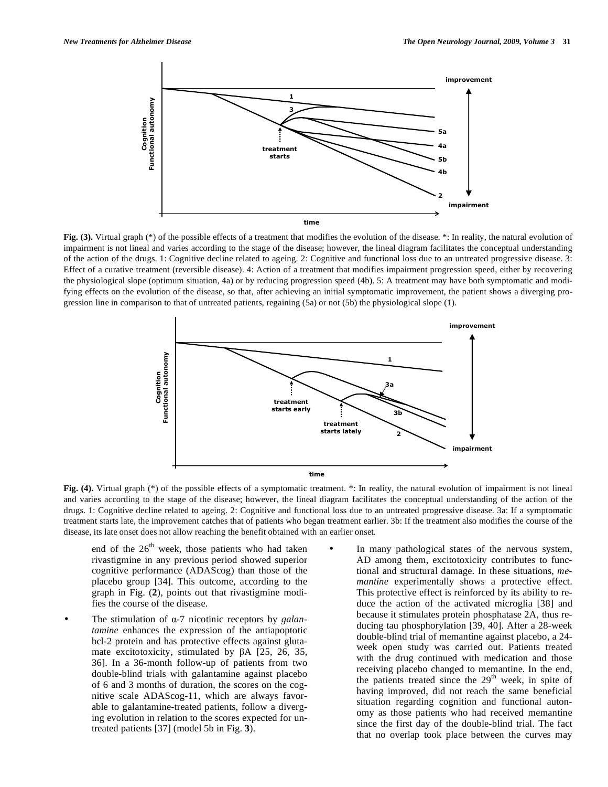

**Fig. (3).** Virtual graph (\*) of the possible effects of a treatment that modifies the evolution of the disease. \*: In reality, the natural evolution of impairment is not lineal and varies according to the stage of the disease; however, the lineal diagram facilitates the conceptual understanding of the action of the drugs. 1: Cognitive decline related to ageing. 2: Cognitive and functional loss due to an untreated progressive disease. 3: Effect of a curative treatment (reversible disease). 4: Action of a treatment that modifies impairment progression speed, either by recovering the physiological slope (optimum situation, 4a) or by reducing progression speed (4b). 5: A treatment may have both symptomatic and modifying effects on the evolution of the disease, so that, after achieving an initial symptomatic improvement, the patient shows a diverging progression line in comparison to that of untreated patients, regaining (5a) or not (5b) the physiological slope (1).



**Fig. (4).** Virtual graph (\*) of the possible effects of a symptomatic treatment. \*: In reality, the natural evolution of impairment is not lineal and varies according to the stage of the disease; however, the lineal diagram facilitates the conceptual understanding of the action of the drugs. 1: Cognitive decline related to ageing. 2: Cognitive and functional loss due to an untreated progressive disease. 3a: If a symptomatic treatment starts late, the improvement catches that of patients who began treatment earlier. 3b: If the treatment also modifies the course of the disease, its late onset does not allow reaching the benefit obtained with an earlier onset.

end of the  $26<sup>th</sup>$  week, those patients who had taken rivastigmine in any previous period showed superior cognitive performance (ADAScog) than those of the placebo group [34]. This outcome, according to the graph in Fig. (**2**), points out that rivastigmine modifies the course of the disease.

- The stimulation of  $\alpha$ -7 nicotinic receptors by *galantamine* enhances the expression of the antiapoptotic bcl-2 protein and has protective effects against glutamate excitotoxicity, stimulated by  $\beta$ A [25, 26, 35, 36]. In a 36-month follow-up of patients from two double-blind trials with galantamine against placebo of 6 and 3 months of duration, the scores on the cognitive scale ADAScog-11, which are always favorable to galantamine-treated patients, follow a diverging evolution in relation to the scores expected for untreated patients [37] (model 5b in Fig. **3**).
- In many pathological states of the nervous system, AD among them, excitotoxicity contributes to functional and structural damage. In these situations, *memantine* experimentally shows a protective effect. This protective effect is reinforced by its ability to reduce the action of the activated microglia [38] and because it stimulates protein phosphatase 2A, thus reducing tau phosphorylation [39, 40]. After a 28-week double-blind trial of memantine against placebo, a 24 week open study was carried out. Patients treated with the drug continued with medication and those receiving placebo changed to memantine. In the end, the patients treated since the  $29<sup>th</sup>$  week, in spite of having improved, did not reach the same beneficial situation regarding cognition and functional autonomy as those patients who had received memantine since the first day of the double-blind trial. The fact that no overlap took place between the curves may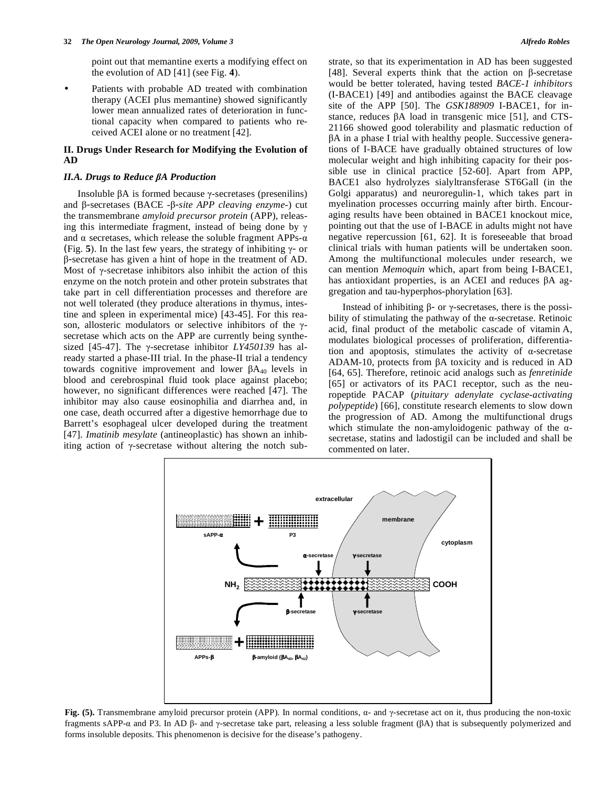point out that memantine exerts a modifying effect on the evolution of AD [41] (see Fig. **4**).

Patients with probable AD treated with combination therapy (ACEI plus memantine) showed significantly lower mean annualized rates of deterioration in functional capacity when compared to patients who received ACEI alone or no treatment [42].

# **II. Drugs Under Research for Modifying the Evolution of AD**

#### *II.A. Drugs to Reduce A Production*

Insoluble  $\beta A$  is formed because  $\gamma$ -secretases (presenilins) and β-secretases (BACE -β-site APP cleaving enzyme-) cut the transmembrane *amyloid precursor protein* (APP), releasing this intermediate fragment, instead of being done by  $\gamma$ and  $\alpha$  secretases, which release the soluble fragment APPs- $\alpha$ (Fig. 5). In the last few years, the strategy of inhibiting  $\gamma$ - or  $\beta$ -secretase has given a hint of hope in the treatment of AD. Most of  $\gamma$ -secretase inhibitors also inhibit the action of this enzyme on the notch protein and other protein substrates that take part in cell differentiation processes and therefore are not well tolerated (they produce alterations in thymus, intestine and spleen in experimental mice) [43-45]. For this reason, allosteric modulators or selective inhibitors of the  $\gamma$ secretase which acts on the APP are currently being synthesized [45-47]. The  $\gamma$ -secretase inhibitor *LY450139* has already started a phase-III trial. In the phase-II trial a tendency towards cognitive improvement and lower  $\beta A_{40}$  levels in blood and cerebrospinal fluid took place against placebo; however, no significant differences were reached [47]. The inhibitor may also cause eosinophilia and diarrhea and, in one case, death occurred after a digestive hemorrhage due to Barrett's esophageal ulcer developed during the treatment [47]. *Imatinib mesylate* (antineoplastic) has shown an inhibiting action of  $\gamma$ -secretase without altering the notch substrate, so that its experimentation in AD has been suggested [48]. Several experts think that the action on  $\beta$ -secretase would be better tolerated, having tested *BACE-1 inhibitors* (I-BACE1) [49] and antibodies against the BACE cleavage site of the APP [50]. The *GSK188909* I-BACE1, for instance, reduces  $\beta A$  load in transgenic mice [51], and CTS-21166 showed good tolerability and plasmatic reduction of -A in a phase I trial with healthy people. Successive generations of I-BACE have gradually obtained structures of low molecular weight and high inhibiting capacity for their possible use in clinical practice [52-60]. Apart from APP, BACE1 also hydrolyzes sialyltransferase ST6Gall (in the Golgi apparatus) and neuroregulin-1, which takes part in myelination processes occurring mainly after birth. Encouraging results have been obtained in BACE1 knockout mice, pointing out that the use of I-BACE in adults might not have negative repercussion [61, 62]. It is foreseeable that broad clinical trials with human patients will be undertaken soon. Among the multifunctional molecules under research, we can mention *Memoquin* which, apart from being I-BACE1, has antioxidant properties, is an ACEI and reduces  $\beta A$  aggregation and tau-hyperphos-phorylation [63].

Instead of inhibiting  $\beta$ - or  $\gamma$ -secretases, there is the possibility of stimulating the pathway of the  $\alpha$ -secretase. Retinoic acid, final product of the metabolic cascade of vitamin A, modulates biological processes of proliferation, differentiation and apoptosis, stimulates the activity of  $\alpha$ -secretase ADAM-10, protects from  $\beta A$  toxicity and is reduced in AD [64, 65]. Therefore, retinoic acid analogs such as *fenretinide*  [65] or activators of its PAC1 receptor, such as the neuropeptide PACAP (*pituitary adenylate cyclase-activating polypeptide*) [66], constitute research elements to slow down the progression of AD. Among the multifunctional drugs which stimulate the non-amyloidogenic pathway of the  $\alpha$ secretase, statins and ladostigil can be included and shall be commented on later.



Fig. (5). Transmembrane amyloid precursor protein (APP). In normal conditions,  $\alpha$ - and  $\gamma$ -secretase act on it, thus producing the non-toxic fragments sAPP- $\alpha$  and P3. In AD  $\beta$ - and  $\gamma$ -secretase take part, releasing a less soluble fragment ( $\beta$ A) that is subsequently polymerized and forms insoluble deposits. This phenomenon is decisive for the disease's pathogeny.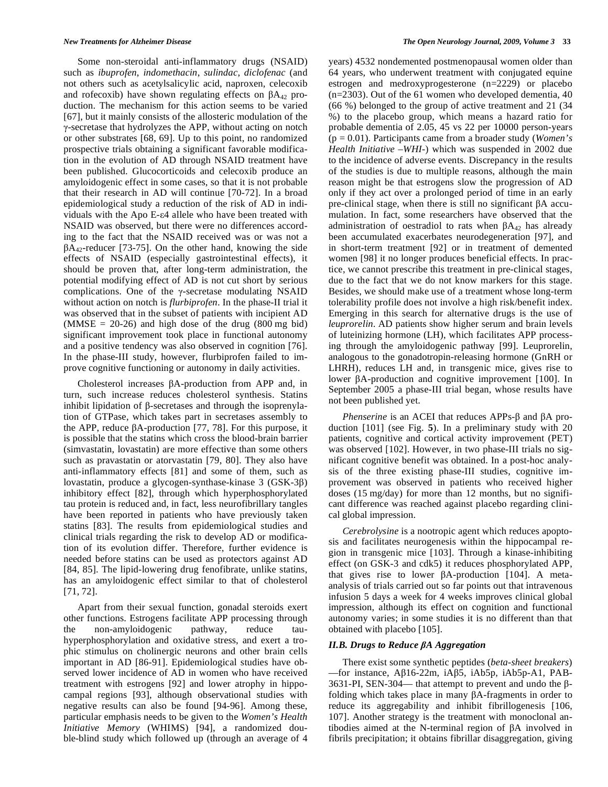Some non-steroidal anti-inflammatory drugs (NSAID) such as *ibuprofen*, *indomethacin*, *sulindac*, *diclofenac* (and not others such as acetylsalicylic acid, naproxen, celecoxib and rofecoxib) have shown regulating effects on  $\beta A_{42}$  production. The mechanism for this action seems to be varied [67], but it mainly consists of the allosteric modulation of the -secretase that hydrolyzes the APP, without acting on notch or other substrates [68, 69]. Up to this point, no randomized prospective trials obtaining a significant favorable modification in the evolution of AD through NSAID treatment have been published. Glucocorticoids and celecoxib produce an amyloidogenic effect in some cases, so that it is not probable that their research in AD will continue [70-72]. In a broad epidemiological study a reduction of the risk of AD in individuals with the Apo E- $\varepsilon$ 4 allele who have been treated with NSAID was observed, but there were no differences according to the fact that the NSAID received was or was not a  $\beta A_{42}$ -reducer [73-75]. On the other hand, knowing the side effects of NSAID (especially gastrointestinal effects), it should be proven that, after long-term administration, the potential modifying effect of AD is not cut short by serious complications. One of the  $\gamma$ -secretase modulating NSAID without action on notch is *flurbiprofen*. In the phase-II trial it was observed that in the subset of patients with incipient AD  $(MMSE = 20-26)$  and high dose of the drug  $(800 \text{ mg bid})$ significant improvement took place in functional autonomy and a positive tendency was also observed in cognition [76]. In the phase-III study, however, flurbiprofen failed to improve cognitive functioning or autonomy in daily activities.

Cholesterol increases  $\beta A$ -production from APP and, in turn, such increase reduces cholesterol synthesis. Statins inhibit lipidation of  $\beta$ -secretases and through the isoprenylation of GTPase, which takes part in secretases assembly to the APP, reduce  $\beta$ A-production [77, 78]. For this purpose, it is possible that the statins which cross the blood-brain barrier (simvastatin, lovastatin) are more effective than some others such as pravastatin or atorvastatin [79, 80]. They also have anti-inflammatory effects [81] and some of them, such as lovastatin, produce a glycogen-synthase-kinase  $3$  (GSK- $3\beta$ ) inhibitory effect [82], through which hyperphosphorylated tau protein is reduced and, in fact, less neurofibrillary tangles have been reported in patients who have previously taken statins [83]. The results from epidemiological studies and clinical trials regarding the risk to develop AD or modification of its evolution differ. Therefore, further evidence is needed before statins can be used as protectors against AD [84, 85]. The lipid-lowering drug fenofibrate, unlike statins, has an amyloidogenic effect similar to that of cholesterol [71, 72].

 Apart from their sexual function, gonadal steroids exert other functions. Estrogens facilitate APP processing through the non-amyloidogenic pathway, reduce tauhyperphosphorylation and oxidative stress, and exert a trophic stimulus on cholinergic neurons and other brain cells important in AD [86-91]. Epidemiological studies have observed lower incidence of AD in women who have received treatment with estrogens [92] and lower atrophy in hippocampal regions [93], although observational studies with negative results can also be found [94-96]. Among these, particular emphasis needs to be given to the *Women's Health Initiative Memory* (WHIMS) [94], a randomized double-blind study which followed up (through an average of 4

years) 4532 nondemented postmenopausal women older than 64 years, who underwent treatment with conjugated equine estrogen and medroxyprogesterone (n=2229) or placebo (n=2303). Out of the 61 women who developed dementia, 40 (66 %) belonged to the group of active treatment and 21 (34 %) to the placebo group, which means a hazard ratio for probable dementia of 2.05, 45 vs 22 per 10000 person-years (p = 0.01). Participants came from a broader study (*Women's Health Initiative –WHI-*) which was suspended in 2002 due to the incidence of adverse events. Discrepancy in the results of the studies is due to multiple reasons, although the main reason might be that estrogens slow the progression of AD only if they act over a prolonged period of time in an early pre-clinical stage, when there is still no significant  $\beta A$  accumulation. In fact, some researchers have observed that the administration of oestradiol to rats when  $\beta A_{42}$  has already been accumulated exacerbates neurodegeneration [97], and in short-term treatment [92] or in treatment of demented women [98] it no longer produces beneficial effects. In practice, we cannot prescribe this treatment in pre-clinical stages, due to the fact that we do not know markers for this stage. Besides, we should make use of a treatment whose long-term tolerability profile does not involve a high risk/benefit index. Emerging in this search for alternative drugs is the use of *leuprorelin*. AD patients show higher serum and brain levels of luteinizing hormone (LH), which facilitates APP processing through the amyloidogenic pathway [99]. Leuprorelin, analogous to the gonadotropin-releasing hormone (GnRH or LHRH), reduces LH and, in transgenic mice, gives rise to lower  $\beta$ A-production and cognitive improvement [100]. In September 2005 a phase-III trial began, whose results have not been published yet.

*Phenserine* is an ACEI that reduces APPs- $\beta$  and  $\beta$ A production [101] (see Fig. **5**). In a preliminary study with 20 patients, cognitive and cortical activity improvement (PET) was observed [102]. However, in two phase-III trials no significant cognitive benefit was obtained. In a post-hoc analysis of the three existing phase-III studies, cognitive improvement was observed in patients who received higher doses (15 mg/day) for more than 12 months, but no significant difference was reached against placebo regarding clinical global impression.

 *Cerebrolysine* is a nootropic agent which reduces apoptosis and facilitates neurogenesis within the hippocampal region in transgenic mice [103]. Through a kinase-inhibiting effect (on GSK-3 and cdk5) it reduces phosphorylated APP, that gives rise to lower  $\beta$ A-production [104]. A metaanalysis of trials carried out so far points out that intravenous infusion 5 days a week for 4 weeks improves clinical global impression, although its effect on cognition and functional autonomy varies; in some studies it is no different than that obtained with placebo [105].

# *II.B. Drugs to Reduce A Aggregation*

 There exist some synthetic peptides (*beta-sheet breakers*)  $-$ for instance, A $\beta$ 16-22m, iA $\beta$ 5, iAb5p, iAb5p-A1, PAB-3631-PI, SEN-304— that attempt to prevent and undo the  $\beta$ folding which takes place in many  $\beta$ A-fragments in order to reduce its aggregability and inhibit fibrillogenesis [106, 107]. Another strategy is the treatment with monoclonal antibodies aimed at the N-terminal region of  $\beta A$  involved in fibrils precipitation; it obtains fibrillar disaggregation, giving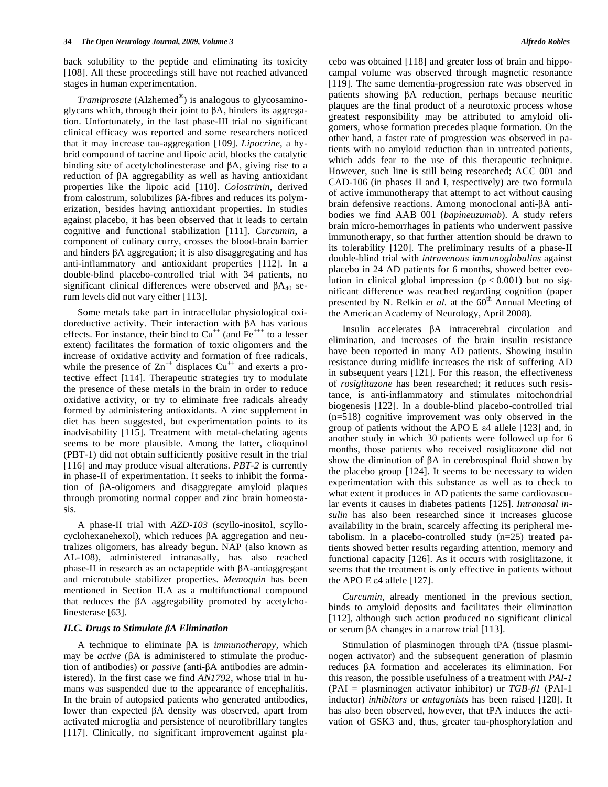back solubility to the peptide and eliminating its toxicity [108]. All these proceedings still have not reached advanced stages in human experimentation.

*Tramiprosate* (Alzhemed<sup>®</sup>) is analogous to glycosaminoglycans which, through their joint to  $\beta A$ , hinders its aggregation. Unfortunately, in the last phase-III trial no significant clinical efficacy was reported and some researchers noticed that it may increase tau-aggregation [109]. *Lipocrine*, a hybrid compound of tacrine and lipoic acid, blocks the catalytic binding site of acetylcholinesterase and  $\beta A$ , giving rise to a reduction of  $\beta A$  aggregability as well as having antioxidant properties like the lipoic acid [110]. *Colostrinin*, derived from calostrum, solubilizes  $\beta A$ -fibres and reduces its polymerization, besides having antioxidant properties. In studies against placebo, it has been observed that it leads to certain cognitive and functional stabilization [111]. *Curcumin*, a component of culinary curry, crosses the blood-brain barrier and hinders  $\beta A$  aggregation; it is also disaggregating and has anti-inflammatory and antioxidant properties [112]. In a double-blind placebo-controlled trial with 34 patients, no significant clinical differences were observed and  $\beta A_{40}$  serum levels did not vary either [113].

 Some metals take part in intracellular physiological oxidoreductive activity. Their interaction with  $\beta A$  has various effects. For instance, their bind to  $Cu^{++}$  (and  $Fe^{+++}$  to a lesser extent) facilitates the formation of toxic oligomers and the increase of oxidative activity and formation of free radicals, while the presence of  $\text{Zn}^{++}$  displaces  $\text{Cu}^{++}$  and exerts a protective effect [114]. Therapeutic strategies try to modulate the presence of these metals in the brain in order to reduce oxidative activity, or try to eliminate free radicals already formed by administering antioxidants. A zinc supplement in diet has been suggested, but experimentation points to its inadvisability [115]. Treatment with metal-chelating agents seems to be more plausible. Among the latter, clioquinol (PBT-1) did not obtain sufficiently positive result in the trial [116] and may produce visual alterations. *PBT-2* is currently in phase-II of experimentation. It seeks to inhibit the formation of  $\beta$ A-oligomers and disaggregate amyloid plaques through promoting normal copper and zinc brain homeostasis.

 A phase-II trial with *AZD-103* (scyllo-inositol, scyllo $cyclohexanehexol$ , which reduces  $\beta A$  aggregation and neutralizes oligomers, has already begun. NAP (also known as AL-108), administered intranasally, has also reached  $phase-II$  in research as an octapeptide with  $\beta A$ -antiaggregant and microtubule stabilizer properties. *Memoquin* has been mentioned in Section II.A as a multifunctional compound that reduces the  $\beta A$  aggregability promoted by acetylcholinesterase [63].

#### *II.C. Drugs to Stimulate A Elimination*

A technique to eliminate  $\beta A$  is *immunotherapy*, which may be *active* ( $\beta A$  is administered to stimulate the production of antibodies) or *passive* (anti-βA antibodies are administered). In the first case we find *AN1792*, whose trial in humans was suspended due to the appearance of encephalitis. In the brain of autopsied patients who generated antibodies, lower than expected  $\beta A$  density was observed, apart from activated microglia and persistence of neurofibrillary tangles [117]. Clinically, no significant improvement against placebo was obtained [118] and greater loss of brain and hippocampal volume was observed through magnetic resonance [119]. The same dementia-progression rate was observed in patients showing  $\beta A$  reduction, perhaps because neuritic plaques are the final product of a neurotoxic process whose greatest responsibility may be attributed to amyloid oligomers, whose formation precedes plaque formation. On the other hand, a faster rate of progression was observed in patients with no amyloid reduction than in untreated patients, which adds fear to the use of this therapeutic technique. However, such line is still being researched; ACC 001 and CAD-106 (in phases II and I, respectively) are two formula of active immunotherapy that attempt to act without causing brain defensive reactions. Among monoclonal anti- $\beta A$  antibodies we find AAB 001 (*bapineuzumab*). A study refers brain micro-hemorrhages in patients who underwent passive immunotherapy, so that further attention should be drawn to its tolerability [120]. The preliminary results of a phase-II double-blind trial with *intravenous immunoglobulins* against placebo in 24 AD patients for 6 months, showed better evolution in clinical global impression  $(p < 0.001)$  but no significant difference was reached regarding cognition (paper presented by N. Relkin *et al.* at the 60<sup>th</sup> Annual Meeting of the American Academy of Neurology, April 2008).

Insulin accelerates  $\beta A$  intracerebral circulation and elimination, and increases of the brain insulin resistance have been reported in many AD patients. Showing insulin resistance during midlife increases the risk of suffering AD in subsequent years [121]. For this reason, the effectiveness of *rosiglitazone* has been researched; it reduces such resistance, is anti-inflammatory and stimulates mitochondrial biogenesis [122]. In a double-blind placebo-controlled trial (n=518) cognitive improvement was only observed in the group of patients without the APO E  $\varepsilon$ 4 allele [123] and, in another study in which 30 patients were followed up for 6 months, those patients who received rosiglitazone did not show the diminution of  $\beta A$  in cerebrospinal fluid shown by the placebo group [124]. It seems to be necessary to widen experimentation with this substance as well as to check to what extent it produces in AD patients the same cardiovascular events it causes in diabetes patients [125]. *Intranasal insulin* has also been researched since it increases glucose availability in the brain, scarcely affecting its peripheral metabolism. In a placebo-controlled study (n=25) treated patients showed better results regarding attention, memory and functional capacity [126]. As it occurs with rosiglitazone, it seems that the treatment is only effective in patients without the APO E  $\varepsilon$ 4 allele [127].

 *Curcumin*, already mentioned in the previous section, binds to amyloid deposits and facilitates their elimination [112], although such action produced no significant clinical or serum  $\beta A$  changes in a narrow trial [113].

 Stimulation of plasminogen through tPA (tissue plasminogen activator) and the subsequent generation of plasmin  $reduces$   $\beta A$  formation and accelerates its elimination. For this reason, the possible usefulness of a treatment with *PAI-1* (PAI = plasminogen activator inhibitor) or  $TGB-\beta1$  (PAI-1) inductor) *inhibitors* or *antagonists* has been raised [128]. It has also been observed, however, that tPA induces the activation of GSK3 and, thus, greater tau-phosphorylation and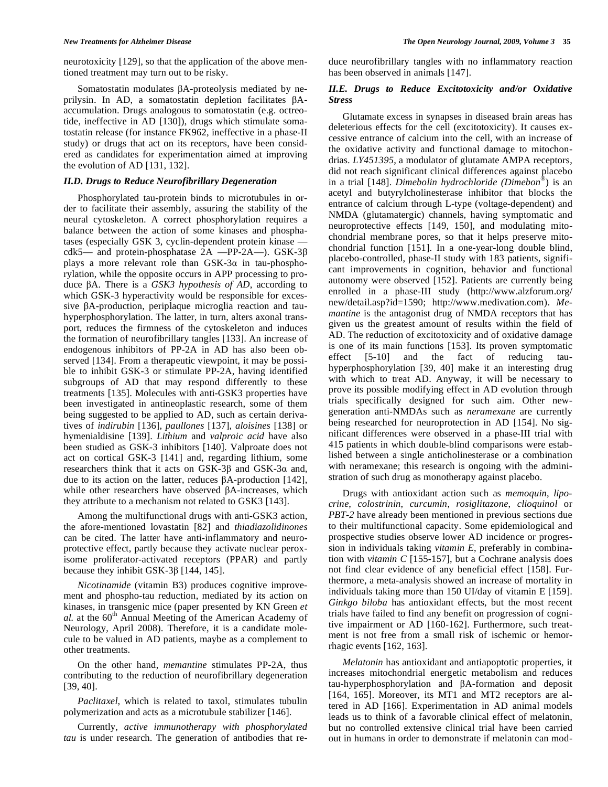neurotoxicity [129], so that the application of the above mentioned treatment may turn out to be risky.

Somatostatin modulates  $\beta$ A-proteolysis mediated by neprilysin. In AD, a somatostatin depletion facilitates  $\beta A$ accumulation. Drugs analogous to somatostatin (e.g. octreotide, ineffective in AD [130]), drugs which stimulate somatostatin release (for instance FK962, ineffective in a phase-II study) or drugs that act on its receptors, have been considered as candidates for experimentation aimed at improving the evolution of AD [131, 132].

# *II.D. Drugs to Reduce Neurofibrillary Degeneration*

 Phosphorylated tau-protein binds to microtubules in order to facilitate their assembly, assuring the stability of the neural cytoskeleton. A correct phosphorylation requires a balance between the action of some kinases and phosphatases (especially GSK 3, cyclin-dependent protein kinase cdk5— and protein-phosphatase  $2A$  —PP-2A—). GSK-3 $\beta$ plays a more relevant role than  $GSK-3\alpha$  in tau-phosphorylation, while the opposite occurs in APP processing to produce βA. There is a *GSK3 hypothesis of AD*, according to which GSK-3 hyperactivity would be responsible for excessive  $\beta$ A-production, periplaque microglia reaction and tauhyperphosphorylation. The latter, in turn, alters axonal transport, reduces the firmness of the cytoskeleton and induces the formation of neurofibrillary tangles [133]. An increase of endogenous inhibitors of PP-2A in AD has also been observed [134]. From a therapeutic viewpoint, it may be possible to inhibit GSK-3 or stimulate PP-2A, having identified subgroups of AD that may respond differently to these treatments [135]. Molecules with anti-GSK3 properties have been investigated in antineoplastic research, some of them being suggested to be applied to AD, such as certain derivatives of *indirubin* [136], *paullones* [137], *aloisines* [138] or hymenialdisine [139]. *Lithium* and *valproic acid* have also been studied as GSK-3 inhibitors [140]. Valproate does not act on cortical GSK-3 [141] and, regarding lithium, some researchers think that it acts on  $GSK-3\beta$  and  $GSK-3\alpha$  and, due to its action on the latter, reduces  $\beta A$ -production [142], while other researchers have observed  $\beta$ A-increases, which they attribute to a mechanism not related to GSK3 [143].

 Among the multifunctional drugs with anti-GSK3 action, the afore-mentioned lovastatin [82] and *thiadiazolidinones* can be cited. The latter have anti-inflammatory and neuroprotective effect, partly because they activate nuclear peroxisome proliferator-activated receptors (PPAR) and partly because they inhibit  $GSK-3\beta$  [144, 145].

 *Nicotinamide* (vitamin B3) produces cognitive improvement and phospho-tau reduction, mediated by its action on kinases, in transgenic mice (paper presented by KN Green *et al.* at the 60<sup>th</sup> Annual Meeting of the American Academy of Neurology, April 2008). Therefore, it is a candidate molecule to be valued in AD patients, maybe as a complement to other treatments.

 On the other hand, *memantine* stimulates PP-2A, thus contributing to the reduction of neurofibrillary degeneration [39, 40].

 *Paclitaxel*, which is related to taxol, stimulates tubulin polymerization and acts as a microtubule stabilizer [146].

 Currently, *active immunotherapy with phosphorylated tau* is under research. The generation of antibodies that reduce neurofibrillary tangles with no inflammatory reaction has been observed in animals [147].

# *II.E. Drugs to Reduce Excitotoxicity and/or Oxidative Stress*

 Glutamate excess in synapses in diseased brain areas has deleterious effects for the cell (excitotoxicity). It causes excessive entrance of calcium into the cell, with an increase of the oxidative activity and functional damage to mitochondrias. *LY451395*, a modulator of glutamate AMPA receptors, did not reach significant clinical differences against placebo in a trial [148]. *Dimebolin hydrochloride (Dimebon*®) is an acetyl and butyrylcholinesterase inhibitor that blocks the entrance of calcium through L-type (voltage-dependent) and NMDA (glutamatergic) channels, having symptomatic and neuroprotective effects [149, 150], and modulating mitochondrial membrane pores, so that it helps preserve mitochondrial function [151]. In a one-year-long double blind, placebo-controlled, phase-II study with 183 patients, significant improvements in cognition, behavior and functional autonomy were observed [152]. Patients are currently being enrolled in a phase-III study (http://www.alzforum.org/ new/detail.asp?id=1590; http://www.medivation.com). *Memantine* is the antagonist drug of NMDA receptors that has given us the greatest amount of results within the field of AD. The reduction of excitotoxicity and of oxidative damage is one of its main functions [153]. Its proven symptomatic effect [5-10] and the fact of reducing tauhyperphosphorylation [39, 40] make it an interesting drug with which to treat AD. Anyway, it will be necessary to prove its possible modifying effect in AD evolution through trials specifically designed for such aim. Other newgeneration anti-NMDAs such as *neramexane* are currently being researched for neuroprotection in AD [154]. No significant differences were observed in a phase-III trial with 415 patients in which double-blind comparisons were established between a single anticholinesterase or a combination with neramexane; this research is ongoing with the administration of such drug as monotherapy against placebo.

 Drugs with antioxidant action such as *memoquin*, *lipocrine*, *colostrinin*, *curcumin*, *rosiglitazone*, *clioquinol* or *PBT-2* have already been mentioned in previous sections due to their multifunctional capacity. Some epidemiological and prospective studies observe lower AD incidence or progression in individuals taking *vitamin E*, preferably in combination with *vitamin C* [155-157], but a Cochrane analysis does not find clear evidence of any beneficial effect [158]. Furthermore, a meta-analysis showed an increase of mortality in individuals taking more than 150 UI/day of vitamin E [159]. *Ginkgo biloba* has antioxidant effects, but the most recent trials have failed to find any benefit on progression of cognitive impairment or AD [160-162]. Furthermore, such treatment is not free from a small risk of ischemic or hemorrhagic events [162, 163].

 *Melatonin* has antioxidant and antiapoptotic properties, it increases mitochondrial energetic metabolism and reduces  $tau$ -hyperphosphorylation and  $\beta$ A-formation and deposit [164, 165]. Moreover, its MT1 and MT2 receptors are altered in AD [166]. Experimentation in AD animal models leads us to think of a favorable clinical effect of melatonin, but no controlled extensive clinical trial have been carried out in humans in order to demonstrate if melatonin can mod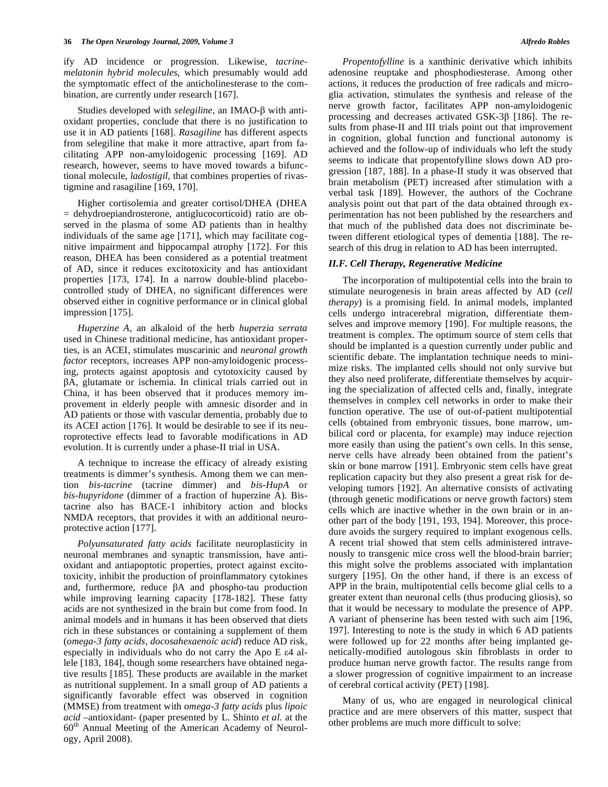ify AD incidence or progression. Likewise, *tacrinemelatonin hybrid molecules*, which presumably would add the symptomatic effect of the anticholinesterase to the combination, are currently under research [167].

Studies developed with *selegiline*, an IMAO- $\beta$  with antioxidant properties, conclude that there is no justification to use it in AD patients [168]. *Rasagiline* has different aspects from selegiline that make it more attractive, apart from facilitating APP non-amyloidogenic processing [169]. AD research, however, seems to have moved towards a bifunctional molecule, *ladostigil*, that combines properties of rivastigmine and rasagiline [169, 170].

 Higher cortisolemia and greater cortisol/DHEA (DHEA = dehydroepiandrosterone, antiglucocorticoid) ratio are observed in the plasma of some AD patients than in healthy individuals of the same age [171], which may facilitate cognitive impairment and hippocampal atrophy [172]. For this reason, DHEA has been considered as a potential treatment of AD, since it reduces excitotoxicity and has antioxidant properties [173, 174]. In a narrow double-blind placebocontrolled study of DHEA, no significant differences were observed either in cognitive performance or in clinical global impression [175].

 *Huperzine A*, an alkaloid of the herb *huperzia serrata* used in Chinese traditional medicine, has antioxidant properties, is an ACEI, stimulates muscarinic and *neuronal growth factor* receptors, increases APP non-amyloidogenic processing, protects against apoptosis and cytotoxicity caused by -A, glutamate or ischemia. In clinical trials carried out in China, it has been observed that it produces memory improvement in elderly people with amnesic disorder and in AD patients or those with vascular dementia, probably due to its ACEI action [176]. It would be desirable to see if its neuroprotective effects lead to favorable modifications in AD evolution. It is currently under a phase-II trial in USA.

 A technique to increase the efficacy of already existing treatments is dimmer's synthesis. Among them we can mention *bis-tacrine* (tacrine dimmer) and *bis-HupA* or *bis-hupyridone* (dimmer of a fraction of huperzine A). Bistacrine also has BACE-1 inhibitory action and blocks NMDA receptors, that provides it with an additional neuroprotective action [177].

 *Polyunsaturated fatty acids* facilitate neuroplasticity in neuronal membranes and synaptic transmission, have antioxidant and antiapoptotic properties, protect against excitotoxicity, inhibit the production of proinflammatory cytokines and, furthermore, reduce  $\beta A$  and phospho-tau production while improving learning capacity [178-182]. These fatty acids are not synthesized in the brain but come from food. In animal models and in humans it has been observed that diets rich in these substances or containing a supplement of them (*omega-3 fatty acids*, *docosahexaenoic acid*) reduce AD risk, especially in individuals who do not carry the Apo  $E \in \mathcal{A}$  allele [183, 184], though some researchers have obtained negative results [185]. These products are available in the market as nutritional supplement. In a small group of AD patients a significantly favorable effect was observed in cognition (MMSE) from treatment with *omega-3 fatty acids* plus *lipoic acid* –antioxidant- (paper presented by L. Shinto *et al.* at the 60<sup>th</sup> Annual Meeting of the American Academy of Neurology, April 2008).

 *Propentofylline* is a xanthinic derivative which inhibits adenosine reuptake and phosphodiesterase. Among other actions, it reduces the production of free radicals and microglia activation, stimulates the synthesis and release of the nerve growth factor, facilitates APP non-amyloidogenic processing and decreases activated  $GSK-3\beta$  [186]. The results from phase-II and III trials point out that improvement in cognition, global function and functional autonomy is achieved and the follow-up of individuals who left the study seems to indicate that propentofylline slows down AD progression [187, 188]. In a phase-II study it was observed that brain metabolism (PET) increased after stimulation with a verbal task [189]. However, the authors of the Cochrane analysis point out that part of the data obtained through experimentation has not been published by the researchers and that much of the published data does not discriminate between different etiological types of dementia [188]. The research of this drug in relation to AD has been interrupted.

#### *II.F. Cell Therapy, Regenerative Medicine*

 The incorporation of multipotential cells into the brain to stimulate neurogenesis in brain areas affected by AD (*cell therapy*) is a promising field. In animal models, implanted cells undergo intracerebral migration, differentiate themselves and improve memory [190]. For multiple reasons, the treatment is complex. The optimum source of stem cells that should be implanted is a question currently under public and scientific debate. The implantation technique needs to minimize risks. The implanted cells should not only survive but they also need proliferate, differentiate themselves by acquiring the specialization of affected cells and, finally, integrate themselves in complex cell networks in order to make their function operative. The use of out-of-patient multipotential cells (obtained from embryonic tissues, bone marrow, umbilical cord or placenta, for example) may induce rejection more easily than using the patient's own cells. In this sense, nerve cells have already been obtained from the patient's skin or bone marrow [191]. Embryonic stem cells have great replication capacity but they also present a great risk for developing tumors [192]. An alternative consists of activating (through genetic modifications or nerve growth factors) stem cells which are inactive whether in the own brain or in another part of the body [191, 193, 194]. Moreover, this procedure avoids the surgery required to implant exogenous cells. A recent trial showed that stem cells administered intravenously to transgenic mice cross well the blood-brain barrier; this might solve the problems associated with implantation surgery [195]. On the other hand, if there is an excess of APP in the brain, multipotential cells become glial cells to a greater extent than neuronal cells (thus producing gliosis), so that it would be necessary to modulate the presence of APP. A variant of phenserine has been tested with such aim [196, 197]. Interesting to note is the study in which 6 AD patients were followed up for 22 months after being implanted genetically-modified autologous skin fibroblasts in order to produce human nerve growth factor. The results range from a slower progression of cognitive impairment to an increase of cerebral cortical activity (PET) [198].

 Many of us, who are engaged in neurological clinical practice and are mere observers of this matter, suspect that other problems are much more difficult to solve: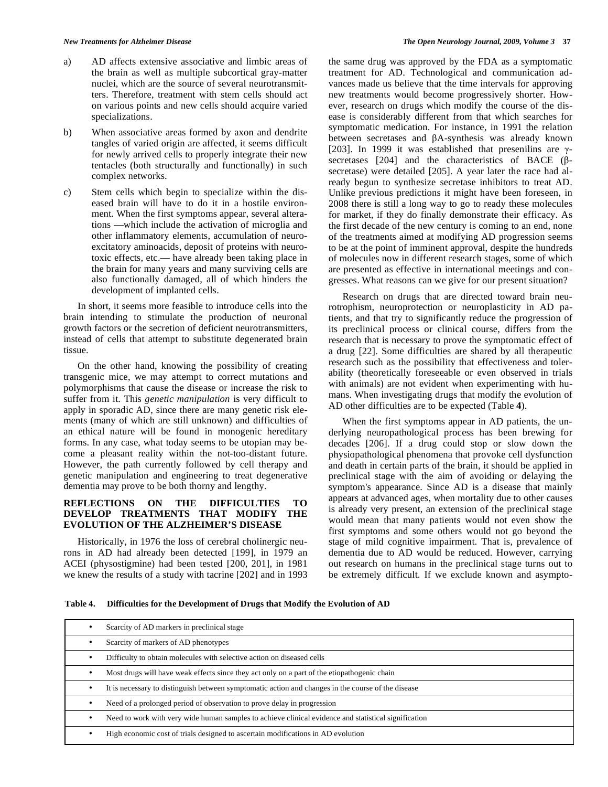- a) AD affects extensive associative and limbic areas of the brain as well as multiple subcortical gray-matter nuclei, which are the source of several neurotransmitters. Therefore, treatment with stem cells should act on various points and new cells should acquire varied specializations.
- b) When associative areas formed by axon and dendrite tangles of varied origin are affected, it seems difficult for newly arrived cells to properly integrate their new tentacles (both structurally and functionally) in such complex networks.
- c) Stem cells which begin to specialize within the diseased brain will have to do it in a hostile environment. When the first symptoms appear, several alterations —which include the activation of microglia and other inflammatory elements, accumulation of neuroexcitatory aminoacids, deposit of proteins with neurotoxic effects, etc.— have already been taking place in the brain for many years and many surviving cells are also functionally damaged, all of which hinders the development of implanted cells.

 In short, it seems more feasible to introduce cells into the brain intending to stimulate the production of neuronal growth factors or the secretion of deficient neurotransmitters, instead of cells that attempt to substitute degenerated brain tissue.

 On the other hand, knowing the possibility of creating transgenic mice, we may attempt to correct mutations and polymorphisms that cause the disease or increase the risk to suffer from it. This *genetic manipulation* is very difficult to apply in sporadic AD, since there are many genetic risk elements (many of which are still unknown) and difficulties of an ethical nature will be found in monogenic hereditary forms. In any case, what today seems to be utopian may become a pleasant reality within the not-too-distant future. However, the path currently followed by cell therapy and genetic manipulation and engineering to treat degenerative dementia may prove to be both thorny and lengthy.

# **REFLECTIONS ON THE DIFFICULTIES TO DEVELOP TREATMENTS THAT MODIFY THE EVOLUTION OF THE ALZHEIMER'S DISEASE**

 Historically, in 1976 the loss of cerebral cholinergic neurons in AD had already been detected [199], in 1979 an ACEI (physostigmine) had been tested [200, 201], in 1981 we knew the results of a study with tacrine [202] and in 1993

the same drug was approved by the FDA as a symptomatic treatment for AD. Technological and communication advances made us believe that the time intervals for approving new treatments would become progressively shorter. However, research on drugs which modify the course of the disease is considerably different from that which searches for symptomatic medication. For instance, in 1991 the relation between secretases and  $\beta$ A-synthesis was already known [203]. In 1999 it was established that presenilins are  $\gamma$ secretases  $[204]$  and the characteristics of BACE ( $\beta$ secretase) were detailed [205]. A year later the race had already begun to synthesize secretase inhibitors to treat AD. Unlike previous predictions it might have been foreseen, in 2008 there is still a long way to go to ready these molecules for market, if they do finally demonstrate their efficacy. As the first decade of the new century is coming to an end, none of the treatments aimed at modifying AD progression seems to be at the point of imminent approval, despite the hundreds of molecules now in different research stages, some of which are presented as effective in international meetings and congresses. What reasons can we give for our present situation?

 Research on drugs that are directed toward brain neurotrophism, neuroprotection or neuroplasticity in AD patients, and that try to significantly reduce the progression of its preclinical process or clinical course, differs from the research that is necessary to prove the symptomatic effect of a drug [22]. Some difficulties are shared by all therapeutic research such as the possibility that effectiveness and tolerability (theoretically foreseeable or even observed in trials with animals) are not evident when experimenting with humans. When investigating drugs that modify the evolution of AD other difficulties are to be expected (Table **4**).

 When the first symptoms appear in AD patients, the underlying neuropathological process has been brewing for decades [206]. If a drug could stop or slow down the physiopathological phenomena that provoke cell dysfunction and death in certain parts of the brain, it should be applied in preclinical stage with the aim of avoiding or delaying the symptom's appearance. Since AD is a disease that mainly appears at advanced ages, when mortality due to other causes is already very present, an extension of the preclinical stage would mean that many patients would not even show the first symptoms and some others would not go beyond the stage of mild cognitive impairment. That is, prevalence of dementia due to AD would be reduced. However, carrying out research on humans in the preclinical stage turns out to be extremely difficult. If we exclude known and asympto-

**Table 4. Difficulties for the Development of Drugs that Modify the Evolution of AD** 

| Scarcity of AD markers in preclinical stage                                                          |
|------------------------------------------------------------------------------------------------------|
| Scarcity of markers of AD phenotypes                                                                 |
| Difficulty to obtain molecules with selective action on diseased cells                               |
| Most drugs will have weak effects since they act only on a part of the etiopathogenic chain          |
| It is necessary to distinguish between symptomatic action and changes in the course of the disease   |
| Need of a prolonged period of observation to prove delay in progression                              |
| Need to work with very wide human samples to achieve clinical evidence and statistical signification |
| High economic cost of trials designed to ascertain modifications in AD evolution                     |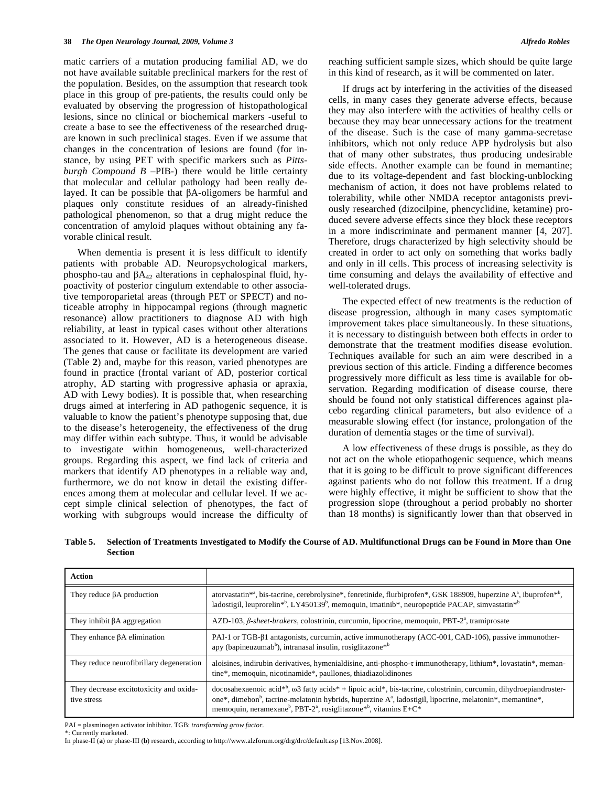matic carriers of a mutation producing familial AD, we do not have available suitable preclinical markers for the rest of the population. Besides, on the assumption that research took place in this group of pre-patients, the results could only be evaluated by observing the progression of histopathological lesions, since no clinical or biochemical markers -useful to create a base to see the effectiveness of the researched drugare known in such preclinical stages. Even if we assume that changes in the concentration of lesions are found (for instance, by using PET with specific markers such as *Pittsburgh Compound B* –PIB-) there would be little certainty that molecular and cellular pathology had been really delayed. It can be possible that  $\beta$ A-oligomers be harmful and plaques only constitute residues of an already-finished pathological phenomenon, so that a drug might reduce the concentration of amyloid plaques without obtaining any favorable clinical result.

 When dementia is present it is less difficult to identify patients with probable AD. Neuropsychological markers, phospho-tau and  $\beta A_{42}$  alterations in cephalospinal fluid, hypoactivity of posterior cingulum extendable to other associative temporoparietal areas (through PET or SPECT) and noticeable atrophy in hippocampal regions (through magnetic resonance) allow practitioners to diagnose AD with high reliability, at least in typical cases without other alterations associated to it. However, AD is a heterogeneous disease. The genes that cause or facilitate its development are varied (Table **2**) and, maybe for this reason, varied phenotypes are found in practice (frontal variant of AD, posterior cortical atrophy, AD starting with progressive aphasia or apraxia, AD with Lewy bodies). It is possible that, when researching drugs aimed at interfering in AD pathogenic sequence, it is valuable to know the patient's phenotype supposing that, due to the disease's heterogeneity, the effectiveness of the drug may differ within each subtype. Thus, it would be advisable to investigate within homogeneous, well-characterized groups. Regarding this aspect, we find lack of criteria and markers that identify AD phenotypes in a reliable way and, furthermore, we do not know in detail the existing differences among them at molecular and cellular level. If we accept simple clinical selection of phenotypes, the fact of working with subgroups would increase the difficulty of reaching sufficient sample sizes, which should be quite large in this kind of research, as it will be commented on later.

 If drugs act by interfering in the activities of the diseased cells, in many cases they generate adverse effects, because they may also interfere with the activities of healthy cells or because they may bear unnecessary actions for the treatment of the disease. Such is the case of many gamma-secretase inhibitors, which not only reduce APP hydrolysis but also that of many other substrates, thus producing undesirable side effects. Another example can be found in memantine; due to its voltage-dependent and fast blocking-unblocking mechanism of action, it does not have problems related to tolerability, while other NMDA receptor antagonists previously researched (dizocilpine, phencyclidine, ketamine) produced severe adverse effects since they block these receptors in a more indiscriminate and permanent manner [4, 207]. Therefore, drugs characterized by high selectivity should be created in order to act only on something that works badly and only in ill cells. This process of increasing selectivity is time consuming and delays the availability of effective and well-tolerated drugs.

 The expected effect of new treatments is the reduction of disease progression, although in many cases symptomatic improvement takes place simultaneously. In these situations, it is necessary to distinguish between both effects in order to demonstrate that the treatment modifies disease evolution. Techniques available for such an aim were described in a previous section of this article. Finding a difference becomes progressively more difficult as less time is available for observation. Regarding modification of disease course, there should be found not only statistical differences against placebo regarding clinical parameters, but also evidence of a measurable slowing effect (for instance, prolongation of the duration of dementia stages or the time of survival).

 A low effectiveness of these drugs is possible, as they do not act on the whole etiopathogenic sequence, which means that it is going to be difficult to prove significant differences against patients who do not follow this treatment. If a drug were highly effective, it might be sufficient to show that the progression slope (throughout a period probably no shorter than 18 months) is significantly lower than that observed in

| Table 5. Selection of Treatments Investigated to Modify the Course of AD. Multifunctional Drugs can be Found in More than One |
|-------------------------------------------------------------------------------------------------------------------------------|
| <b>Section</b>                                                                                                                |

| Action                                                 |                                                                                                                                                                                                                                                                                                                                                                                       |
|--------------------------------------------------------|---------------------------------------------------------------------------------------------------------------------------------------------------------------------------------------------------------------------------------------------------------------------------------------------------------------------------------------------------------------------------------------|
| They reduce $\beta A$ production                       | atorvastatin <sup>*</sup> , bis-tacrine, cerebrolysine <sup>*</sup> , fenretinide, flurbiprofen <sup>*</sup> , GSK 188909, huperzine A <sup>a</sup> , ibuprofen <sup>*</sup> <sup>p</sup> ,<br>ladostigil, leuprorelin <sup>*b</sup> , LY450139 <sup>b</sup> , memoquin, imatinib*, neuropeptide PACAP, simvastatin <sup>*b</sup>                                                     |
| They inhibit $\beta A$ aggregation                     | AZD-103, $\beta$ -sheet-brakers, colostrinin, curcumin, lipocrine, memoquin, PBT-2 <sup>a</sup> , tramiprosate                                                                                                                                                                                                                                                                        |
| They enhance $\beta A$ elimination                     | PAI-1 or TGB- $\beta$ 1 antagonists, curcumin, active immunotherapy (ACC-001, CAD-106), passive immunother-<br>apy (bapineuzumab <sup>b</sup> ), intranasal insulin, rosiglitazone <sup>*b</sup>                                                                                                                                                                                      |
| They reduce neurofibrillary degeneration               | aloisines, indirubin derivatives, hymenialdisine, anti-phospho-t immunotherapy, lithium*, lovastatin*, meman-<br>tine*, memoquin, nicotinamide*, paullones, thiadiazolidinones                                                                                                                                                                                                        |
| They decrease excitotoxicity and oxida-<br>tive stress | docosahexaenoic acid* <sup>b</sup> , $\omega$ 3 fatty acids* + lipoic acid*, bis-tacrine, colostrinin, curcumin, dihydroepiandroster-<br>one*, dimebon <sup>b</sup> , tacrine-melatonin hybrids, huperzine $A^a$ , ladostigil, lipocrine, melatonin*, memantine*,<br>memoquin, neramexane <sup>b</sup> , PBT-2 <sup>a</sup> , rosiglitazone <sup>*b</sup> , vitamins E+C <sup>*</sup> |

PAI = plasminogen activator inhibitor. TGB: *transforming grow factor*.

\*: Currently marketed.

In phase-II (**a**) or phase-III (**b**) research, according to http://www.alzforum.org/drg/drc/default.asp [13.Nov.2008].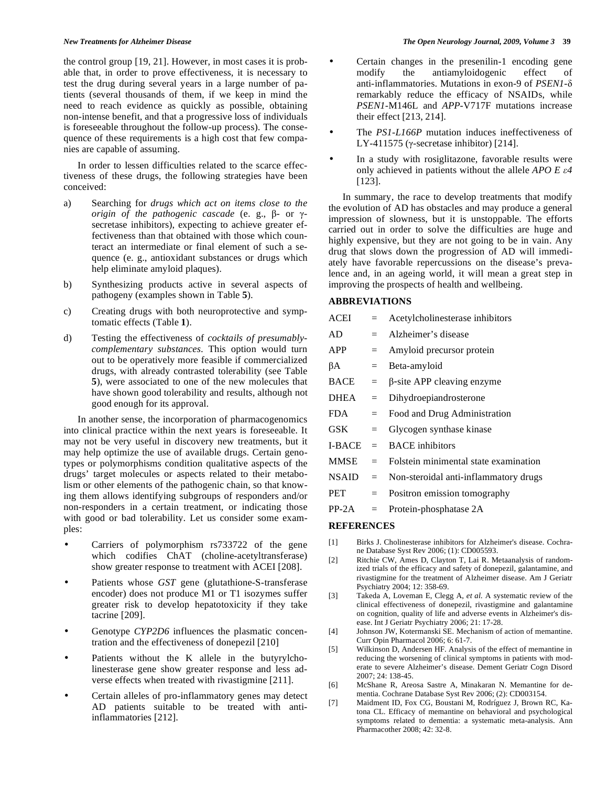the control group [19, 21]. However, in most cases it is probable that, in order to prove effectiveness, it is necessary to test the drug during several years in a large number of patients (several thousands of them, if we keep in mind the need to reach evidence as quickly as possible, obtaining non-intense benefit, and that a progressive loss of individuals is foreseeable throughout the follow-up process). The consequence of these requirements is a high cost that few companies are capable of assuming.

 In order to lessen difficulties related to the scarce effectiveness of these drugs, the following strategies have been conceived:

- a) Searching for *drugs which act on items close to the*   $origin$  of the pathogenic cascade (e. g.,  $\beta$ - or  $\gamma$ secretase inhibitors), expecting to achieve greater effectiveness than that obtained with those which counteract an intermediate or final element of such a sequence (e. g., antioxidant substances or drugs which help eliminate amyloid plaques).
- b) Synthesizing products active in several aspects of pathogeny (examples shown in Table **5**).
- c) Creating drugs with both neuroprotective and symptomatic effects (Table **1**).
- d) Testing the effectiveness of *cocktails of presumablycomplementary substances*. This option would turn out to be operatively more feasible if commercialized drugs, with already contrasted tolerability (see Table **5**), were associated to one of the new molecules that have shown good tolerability and results, although not good enough for its approval.

 In another sense, the incorporation of pharmacogenomics into clinical practice within the next years is foreseeable. It may not be very useful in discovery new treatments, but it may help optimize the use of available drugs. Certain genotypes or polymorphisms condition qualitative aspects of the drugs' target molecules or aspects related to their metabolism or other elements of the pathogenic chain, so that knowing them allows identifying subgroups of responders and/or non-responders in a certain treatment, or indicating those with good or bad tolerability. Let us consider some examples:

- Carriers of polymorphism rs733722 of the gene which codifies ChAT (choline-acetyltransferase) show greater response to treatment with ACEI [208].
- Patients whose *GST* gene (glutathione-S-transferase encoder) does not produce M1 or T1 isozymes suffer greater risk to develop hepatotoxicity if they take tacrine [209].
- Genotype CYP2D6 influences the plasmatic concentration and the effectiveness of donepezil [210]
- Patients without the K allele in the butyrylcholinesterase gene show greater response and less adverse effects when treated with rivastigmine [211].
- Certain alleles of pro-inflammatory genes may detect AD patients suitable to be treated with antiinflammatories [212].

• Certain changes in the presenilin-1 encoding gene modify the antiamyloidogenic effect of anti-inflammatories. Mutations in exon-9 of *PSEN1* remarkably reduce the efficacy of NSAIDs, while *PSEN1*-M146L and *APP*-V717F mutations increase their effect [213, 214].

- The *PS1*-*L166P* mutation induces ineffectiveness of LY-411575 ( $\gamma$ -secretase inhibitor) [214].
- In a study with rosiglitazone, favorable results were only achieved in patients without the allele *APO E 4* [123].

 In summary, the race to develop treatments that modify the evolution of AD has obstacles and may produce a general impression of slowness, but it is unstoppable. The efforts carried out in order to solve the difficulties are huge and highly expensive, but they are not going to be in vain. Any drug that slows down the progression of AD will immediately have favorable repercussions on the disease's prevalence and, in an ageing world, it will mean a great step in improving the prospects of health and wellbeing.

### **ABBREVIATIONS**

| <b>ACEI</b>   | $=$ | Acetylcholinesterase inhibitors       |
|---------------|-----|---------------------------------------|
| AD.           | $=$ | Alzheimer's disease                   |
| APP           | $=$ | Amyloid precursor protein             |
| βA            | $=$ | Beta-amyloid                          |
| BACE          | $=$ | $\beta$ -site APP cleaving enzyme     |
| DHEA          | $=$ | Dihydroepiandrosterone                |
| FDA.          | $=$ | Food and Drug Administration          |
| GSK-          | $=$ | Glycogen synthase kinase              |
| <b>I-BACE</b> | $=$ | <b>BACE</b> inhibitors                |
| MMSE          | $=$ | Folstein minimental state examination |
| <b>NSAID</b>  | $=$ | Non-steroidal anti-inflammatory drugs |
| <b>PET</b>    | $=$ | Positron emission tomography          |
|               |     |                                       |

PP-2A = Protein-phosphatase 2A

### **REFERENCES**

- [1] Birks J. Cholinesterase inhibitors for Alzheimer's disease. Cochrane Database Syst Rev 2006; (1): CD005593.
- [2] Ritchie CW, Ames D, Clayton T, Lai R. Metaanalysis of randomized trials of the efficacy and safety of donepezil, galantamine, and rivastigmine for the treatment of Alzheimer disease. Am J Geriatr Psychiatry 2004; 12: 358-69.
- [3] Takeda A, Loveman E, Clegg A, *et al.* A systematic review of the clinical effectiveness of donepezil, rivastigmine and galantamine on cognition, quality of life and adverse events in Alzheimer's disease. Int J Geriatr Psychiatry 2006; 21: 17-28.
- [4] Johnson JW, Kotermanski SE. Mechanism of action of memantine. Curr Opin Pharmacol 2006; 6: 61-7.
- [5] Wilkinson D, Andersen HF. Analysis of the effect of memantine in reducing the worsening of clinical symptoms in patients with moderate to severe Alzheimer's disease. Dement Geriatr Cogn Disord 2007; 24: 138-45.
- [6] McShane R, Areosa Sastre A, Minakaran N. Memantine for dementia. Cochrane Database Syst Rev 2006; (2): CD003154.
- [7] Maidment ID, Fox CG, Boustani M, Rodríguez J, Brown RC, Katona CL. Efficacy of memantine on behavioral and psychological symptoms related to dementia: a systematic meta-analysis. Ann Pharmacother 2008; 42: 32-8.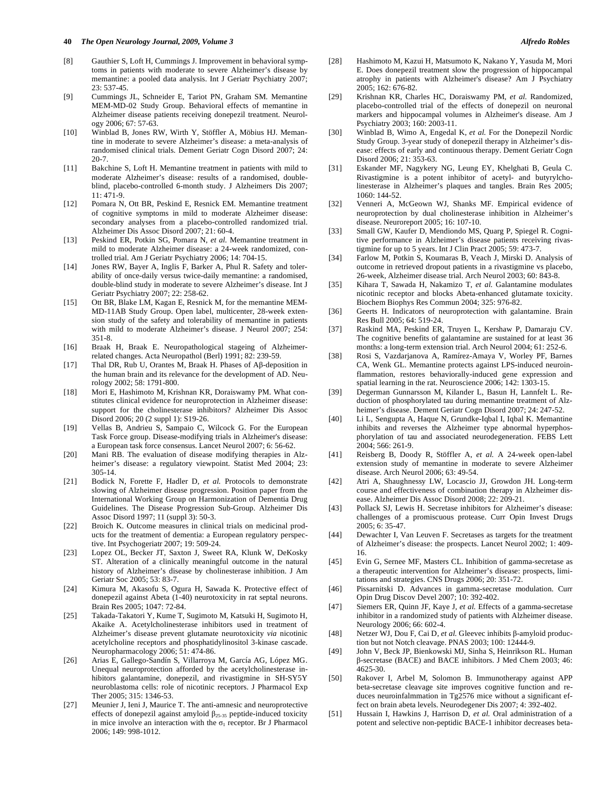#### **40** *The Open Neurology Journal, 2009, Volume 3 Alfredo Robles*

- [8] Gauthier S, Loft H, Cummings J. Improvement in behavioral symptoms in patients with moderate to severe Alzheimer's disease by memantine: a pooled data analysis. Int J Geriatr Psychiatry 2007; 23: 537-45.
- [9] Cummings JL, Schneider E, Tariot PN, Graham SM. Memantine MEM-MD-02 Study Group. Behavioral effects of memantine in Alzheimer disease patients receiving donepezil treatment. Neurology 2006; 67: 57-63.
- [10] Winblad B, Jones RW, Wirth Y, Stöffler A, Möbius HJ. Memantine in moderate to severe Alzheimer's disease: a meta-analysis of randomised clinical trials. Dement Geriatr Cogn Disord 2007; 24: 20-7.
- [11] Bakchine S, Loft H. Memantine treatment in patients with mild to moderate Alzheimer's disease: results of a randomised, doubleblind, placebo-controlled 6-month study. J Alzheimers Dis 2007; 11: 471-9.
- [12] Pomara N, Ott BR, Peskind E, Resnick EM. Memantine treatment of cognitive symptoms in mild to moderate Alzheimer disease: secondary analyses from a placebo-controlled randomized trial. Alzheimer Dis Assoc Disord 2007; 21: 60-4.
- [13] Peskind ER, Potkin SG, Pomara N, *et al.* Memantine treatment in mild to moderate Alzheimer disease: a 24-week randomized, controlled trial. Am J Geriatr Psychiatry 2006; 14: 704-15.
- [14] Jones RW, Bayer A, Inglis F, Barker A, Phul R. Safety and tolerability of once-daily versus twice-daily memantine: a randomised, double-blind study in moderate to severe Alzheimer's disease. Int J Geriatr Psychiatry 2007; 22: 258-62.
- [15] Ott BR, Blake LM, Kagan E, Resnick M, for the memantine MEM-MD-11AB Study Group. Open label, multicenter, 28-week extension study of the safety and tolerability of memantine in patients with mild to moderate Alzheimer's disease. J Neurol 2007; 254: 351-8.
- [16] Braak H, Braak E. Neuropathological stageing of Alzheimerrelated changes. Acta Neuropathol (Berl) 1991; 82: 239-59.
- [17] Thal DR, Rub U, Orantes M, Braak H. Phases of  $\mathsf{A}\beta$ -deposition in the human brain and its relevance for the development of AD. Neurology 2002; 58: 1791-800.
- [18] Mori E, Hashimoto M, Krishnan KR, Doraiswamy PM. What constitutes clinical evidence for neuroprotection in Alzheimer disease: support for the cholinesterase inhibitors? Alzheimer Dis Assoc Disord 2006; 20 (2 suppl 1): S19-26.
- [19] Vellas B, Andrieu S, Sampaio C, Wilcock G. For the European Task Force group. Disease-modifying trials in Alzheimer's disease: a European task force consensus. Lancet Neurol 2007; 6: 56-62.
- [20] Mani RB. The evaluation of disease modifying therapies in Alzheimer's disease: a regulatory viewpoint. Statist Med 2004; 23: 305-14.
- [21] Bodick N, Forette F, Hadler D, *et al.* Protocols to demonstrate slowing of Alzheimer disease progression. Position paper from the International Working Group on Harmonization of Dementia Drug Guidelines. The Disease Progression Sub-Group. Alzheimer Dis Assoc Disord 1997; 11 (suppl 3): 50-3.
- [22] Broich K. Outcome measures in clinical trials on medicinal products for the treatment of dementia: a European regulatory perspective. Int Psychogeriatr 2007; 19: 509-24.
- [23] Lopez OL, Becker JT, Saxton J, Sweet RA, Klunk W, DeKosky ST. Alteration of a clinically meaningful outcome in the natural history of Alzheimer's disease by cholinesterase inhibition. J Am Geriatr Soc 2005; 53: 83-7.
- [24] Kimura M, Akasofu S, Ogura H, Sawada K. Protective effect of donepezil against Abeta (1-40) neurotoxicity in rat septal neurons. Brain Res 2005; 1047: 72-84.
- [25] Takada-Takatori Y, Kume T, Sugimoto M, Katsuki H, Sugimoto H, Akaike A. Acetylcholinesterase inhibitors used in treatment of Alzheimer's disease prevent glutamate neurotoxicity *via* nicotinic acetylcholine receptors and phosphatidylinositol 3-kinase cascade. Neuropharmacology 2006; 51: 474-86.
- [26] Arias E, Gallego-Sandín S, Villarroya M, García AG, López MG. Unequal neuroprotection afforded by the acetylcholinesterase inhibitors galantamine, donepezil, and rivastigmine in SH-SY5Y neuroblastoma cells: role of nicotinic receptors. J Pharmacol Exp Ther 2005; 315: 1346-53.
- [27] Meunier J, Ieni J, Maurice T. The anti-amnesic and neuroprotective effects of donepezil against amyloid  $\beta_{25-35}$  peptide-induced toxicity in mice involve an interaction with the  $\sigma_1$  receptor. Br J Pharmacol 2006; 149: 998-1012.
- [28] Hashimoto M, Kazui H, Matsumoto K, Nakano Y, Yasuda M, Mori E. Does donepezil treatment slow the progression of hippocampal atrophy in patients with Alzheimer's disease? Am J Psychiatry 2005; 162: 676-82.
- [29] Krishnan KR, Charles HC, Doraiswamy PM, *et al.* Randomized, placebo-controlled trial of the effects of donepezil on neuronal markers and hippocampal volumes in Alzheimer's disease. Am J Psychiatry 2003; 160: 2003-11.
- [30] Winblad B, Wimo A, Engedal K, *et al.* For the Donepezil Nordic Study Group. 3-year study of donepezil therapy in Alzheimer's disease: effects of early and continuous therapy. Dement Geriatr Cogn Disord 2006; 21: 353-63.
- [31] Eskander MF, Nagykery NG, Leung EY, Khelghati B, Geula C. Rivastigmine is a potent inhibitor of acetyl- and butyrylcholinesterase in Alzheimer's plaques and tangles. Brain Res 2005; 1060: 144-52.
- [32] Venneri A, McGeown WJ, Shanks MF. Empirical evidence of neuroprotection by dual cholinesterase inhibition in Alzheimer's disease. Neuroreport 2005; 16: 107-10.
- [33] Small GW, Kaufer D, Mendiondo MS, Quarg P, Spiegel R. Cognitive performance in Alzheimer's disease patients receiving rivastigmine for up to 5 years. Int J Clin Pract 2005; 59: 473-7.
- [34] Farlow M, Potkin S, Koumaras B, Veach J, Mirski D. Analysis of outcome in retrieved dropout patients in a rivastigmine vs placebo, 26-week, Alzheimer disease trial. Arch Neurol 2003; 60: 843-8.
- [35] Kihara T, Sawada H, Nakamizo T, *et al.* Galantamine modulates nicotinic receptor and blocks Abeta-enhanced glutamate toxicity. Biochem Biophys Res Commun 2004; 325: 976-82.
- [36] Geerts H. Indicators of neuroprotection with galantamine. Brain Res Bull 2005; 64: 519-24.
- [37] Raskind MA, Peskind ER, Truyen L, Kershaw P, Damaraju CV. The cognitive benefits of galantamine are sustained for at least 36 months: a long-term extension trial. Arch Neurol 2004; 61: 252-6.
- [38] Rosi S, Vazdarjanova A, Ramírez-Amaya V, Worley PF, Barnes CA, Wenk GL. Memantine protects against LPS-induced neuroinflammation, restores behaviorally-induced gene expression and spatial learning in the rat. Neuroscience 2006; 142: 1303-15.
- [39] Degerman Gunnarsson M, Kilander L, Basun H, Lannfelt L. Reduction of phosphorylated tau during memantine treatment of Alzheimer's disease. Dement Geriatr Cogn Disord 2007; 24: 247-52.
- [40] Li L, Sengupta A, Haque N, Grundke-Iqbal I, Iqbal K. Memantine inhibits and reverses the Alzheimer type abnormal hyperphosphorylation of tau and associated neurodegeneration. FEBS Lett 2004; 566: 261-9.
- [41] Reisberg B, Doody R, Stöffler A, *et al.* A 24-week open-label extension study of memantine in moderate to severe Alzheimer disease. Arch Neurol 2006; 63: 49-54.
- [42] Atri A, Shaughnessy LW, Locascio JJ, Growdon JH. Long-term course and effectiveness of combination therapy in Alzheimer disease. Alzheimer Dis Assoc Disord 2008; 22: 209-21.
- [43] Pollack SJ, Lewis H. Secretase inhibitors for Alzheimer's disease: challenges of a promiscuous protease. Curr Opin Invest Drugs 2005; 6: 35-47.
- [44] Dewachter I, Van Leuven F. Secretases as targets for the treatment of Alzheimer's disease: the prospects. Lancet Neurol 2002; 1: 409- 16.
- [45] Evin G, Sernee MF, Masters CL. Inhibition of gamma-secretase as a therapeutic intervention for Alzheimer's disease: prospects, limitations and strategies. CNS Drugs 2006; 20: 351-72.
- [46] Pissarnitski D. Advances in gamma-secretase modulation. Curr Opin Drug Discov Devel 2007; 10: 392-402.
- [47] Siemers ER, Quinn JF, Kaye J, *et al.* Effects of a gamma-secretase inhibitor in a randomized study of patients with Alzheimer disease. Neurology 2006; 66: 602-4.
- [48] Netzer WJ, Dou F, Cai D, *et al*. Gleevec inhibits  $\beta$ -amyloid production but not Notch cleavage. PNAS 2003; 100: 12444-9.
- [49] John V, Beck JP, Bienkowski MJ, Sinha S, Heinrikson RL. Human --secretase (BACE) and BACE inhibitors. J Med Chem 2003; 46: 4625-30.
- [50] Rakover I, Arbel M, Solomon B. Immunotherapy against APP beta-secretase cleavage site improves cognitive function and reduces neuroinfalmmation in Tg2576 mice without a significant effect on brain abeta levels. Neurodegener Dis 2007; 4: 392-402.
- [51] Hussain I, Hawkins J, Harrison D, *et al.* Oral administration of a potent and selective non-peptidic BACE-1 inhibitor decreases beta-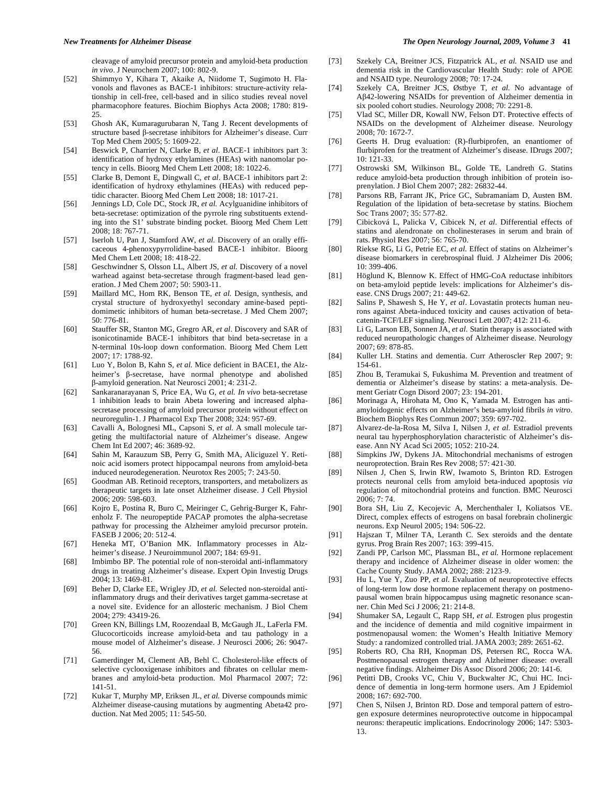cleavage of amyloid precursor protein and amyloid-beta production *in vivo*. J Neurochem 2007; 100: 802-9.

- [52] Shimmyo Y, Kihara T, Akaike A, Niidome T, Sugimoto H. Flavonols and flavones as BACE-1 inhibitors: structure-activity relationship in cell-free, cell-based and in silico studies reveal novel pharmacophore features. Biochim Biophys Acta 2008; 1780: 819- 25.
- [53] Ghosh AK, Kumaragurubaran N, Tang J. Recent developments of structure based  $\beta$ -secretase inhibitors for Alzheimer's disease. Curr Top Med Chem 2005; 5: 1609-22.
- [54] Beswick P, Charrier N, Clarke B, *et al.* BACE-1 inhibitors part 3: identification of hydroxy ethylamines (HEAs) with nanomolar potency in cells. Bioorg Med Chem Lett 2008; 18: 1022-6.
- [55] Clarke B, Demont E, Dingwall C, *et al.* BACE-1 inhibitors part 2: identification of hydroxy ethylamines (HEAs) with reduced peptidic character. Bioorg Med Chem Lett 2008; 18: 1017-21.
- [56] Jennings LD, Cole DC, Stock JR, *et al.* Acylguanidine inhibitors of beta-secretase: optimization of the pyrrole ring substituents extending into the S1' substrate binding pocket. Bioorg Med Chem Lett 2008; 18: 767-71.
- [57] Iserloh U, Pan J, Stamford AW, et al. Discovery of an orally efficaceous 4-phenoxypyrrolidine-based BACE-1 inhibitor. Bioorg Med Chem Lett 2008; 18: 418-22.
- [58] Geschwindner S, Olsson LL, Albert JS, *et al.* Discovery of a novel warhead against beta-secretase through fragment-based lead generation. J Med Chem 2007; 50: 5903-11.
- [59] Maillard MC, Hom RK, Benson TE, *et al.* Design, synthesis, and crystal structure of hydroxyethyl secondary amine-based peptidomimetic inhibitors of human beta-secretase. J Med Chem 2007; 50: 776-81.
- [60] Stauffer SR, Stanton MG, Gregro AR, *et al.* Discovery and SAR of isonicotinamide BACE-1 inhibitors that bind beta-secretase in a N-terminal 10s-loop down conformation. Bioorg Med Chem Lett 2007; 17: 1788-92.
- [61] Luo Y, Bolon B, Kahn S, *et al.* Mice deficient in BACE1, the Alzheimer's  $\beta$ -secretase, have normal phenotype and abolished -amyloid generation. Nat Neurosci 2001; 4: 231-2.
- [62] Sankaranarayanan S, Price EA, Wu G, *et al. In vivo* beta-secretase 1 inhibition leads to brain Abeta lowering and increased alphasecretase processing of amyloid precursor protein without effect on neuroregulin-1. J Pharmacol Exp Ther 2008; 324: 957-69.
- [63] Cavalli A, Bolognesi ML, Capsoni S, *et al.* A small molecule targeting the multifactorial nature of Alzheimer's disease. Angew Chem Int Ed 2007; 46: 3689-92.
- [64] Sahin M, Karauzum SB, Perry G, Smith MA, Aliciguzel Y. Retinoic acid isomers protect hippocampal neurons from amyloid-beta induced neurodegeneration. Neurotox Res 2005; 7: 243-50.
- [65] Goodman AB. Retinoid receptors, transporters, and metabolizers as therapeutic targets in late onset Alzheimer disease. J Cell Physiol 2006; 209: 598-603.
- [66] Kojro E, Postina R, Buro C, Meiringer C, Gehrig-Burger K, Fahrenholz F. The neuropeptide PACAP promotes the alpha-secretase pathway for processing the Alzheimer amyloid precursor protein. FASEB J 2006; 20: 512-4.
- [67] Heneka MT, O'Banion MK. Inflammatory processes in Alzheimer's disease. J Neuroimmunol 2007; 184: 69-91.
- [68] Imbimbo BP. The potential role of non-steroidal anti-inflammatory drugs in treating Alzheimer's disease. Expert Opin Investig Drugs 2004; 13: 1469-81.
- [69] Beher D, Clarke EE, Wrigley JD, *et al.* Selected non-steroidal antiinflammatory drugs and their derivatives target gamma-secretase at a novel site. Evidence for an allosteric mechanism. J Biol Chem 2004; 279: 43419-26.
- [70] Green KN, Billings LM, Roozendaal B, McGaugh JL, LaFerla FM. Glucocorticoids increase amyloid-beta and tau pathology in a mouse model of Alzheimer's disease. J Neurosci 2006; 26: 9047- 56.
- [71] Gamerdinger M, Clement AB, Behl C. Cholesterol-like effects of selective cyclooxigenase inhibitors and fibrates on cellular membranes and amyloid-beta production. Mol Pharmacol 2007; 72: 141-51.
- [72] Kukar T, Murphy MP, Eriksen JL, *et al.* Diverse compounds mimic Alzheimer disease-causing mutations by augmenting Abeta42 production. Nat Med 2005; 11: 545-50.
- [73] Szekely CA, Breitner JCS, Fitzpatrick AL, *et al.* NSAID use and dementia risk in the Cardiovascular Health Study: role of APOE and NSAID type. Neurology 2008; 70: 17-24.
- [74] Szekely CA, Breitner JCS, Østbye T, *et al.* No advantage of A42-lowering NSAIDs for prevention of Alzheimer dementia in six pooled cohort studies. Neurology 2008; 70: 2291-8.
- [75] Vlad SC, Miller DR, Kowall NW, Felson DT. Protective effects of NSAIDs on the development of Alzheimer disease. Neurology 2008; 70: 1672-7.
- [76] Geerts H. Drug evaluation: (R)-flurbiprofen, an enantiomer of flurbiprofen for the treatment of Alzheimer's disease. IDrugs 2007; 10: 121-33.
- [77] Ostrowski SM, Wilkinson BL, Golde TE, Landreth G. Statins reduce amyloid-beta production through inhibition of protein isoprenylation. J Biol Chem 2007; 282: 26832-44.
- [78] Parsons RB, Farrant JK, Price GC, Subramaniam D, Austen BM. Regulation of the lipidation of beta-secretase by statins. Biochem Soc Trans 2007; 35: 577-82.
- [79] Cibicková L, Palicka V, Cibicek N, *et al.* Differential effects of statins and alendronate on cholinesterases in serum and brain of rats. Physiol Res 2007; 56: 765-70.
- [80] Riekse RG, Li G, Petrie EC, *et al.* Effect of statins on Alzheimer's disease biomarkers in cerebrospinal fluid. J Alzheimer Dis 2006; 10: 399-406.
- [81] Höglund K, Blennow K. Effect of HMG-CoA reductase inhibitors on beta-amyloid peptide levels: implications for Alzheimer's disease. CNS Drugs 2007; 21: 449-62.
- [82] Salins P, Shawesh S, He Y, *et al*. Lovastatin protects human neurons against Abeta-induced toxicity and causes activation of betacatenin-TCF/LEF signaling. Neurosci Lett 2007; 412: 211-6.
- [83] Li G, Larson EB, Sonnen JA, *et al.* Statin therapy is associated with reduced neuropathologic changes of Alzheimer disease. Neurology 2007; 69: 878-85.
- [84] Kuller LH. Statins and dementia. Curr Atheroscler Rep 2007; 9: 154-61.
- [85] Zhou B, Teramukai S, Fukushima M. Prevention and treatment of dementia or Alzheimer's disease by statins: a meta-analysis. Dement Geriatr Cogn Disord 2007; 23: 194-201.
- [86] Morinaga A, Hirohata M, Ono K, Yamada M. Estrogen has antiamyloidogenic effects on Alzheimer's beta-amyloid fibrils *in vitro*. Biochem Biophys Res Commun 2007; 359: 697-702.
- [87] Alvarez-de-la-Rosa M, Silva I, Nilsen J, *et al.* Estradiol prevents neural tau hyperphosphorylation characteristic of Alzheimer's disease. Ann NY Acad Sci 2005; 1052: 210-24.
- [88] Simpkins JW, Dykens JA. Mitochondrial mechanisms of estrogen neuroprotection. Brain Res Rev 2008; 57: 421-30.
- [89] Nilsen J, Chen S, Irwin RW, Iwamoto S, Brinton RD. Estrogen protects neuronal cells from amyloid beta-induced apoptosis *via*  regulation of mitochondrial proteins and function. BMC Neurosci 2006; 7: 74.
- [90] Bora SH, Liu Z, Kecojevic A, Merchenthaler I, Koliatsos VE. Direct, complex effects of estrogens on basal forebrain cholinergic neurons. Exp Neurol 2005; 194: 506-22.
- [91] Hajszan T, Milner TA, Leranth C. Sex steroids and the dentate gyrus. Prog Brain Res 2007; 163: 399-415.
- [92] Zandi PP, Carlson MC, Plassman BL, *et al.* Hormone replacement therapy and incidence of Alzheimer disease in older women: the Cache County Study. JAMA 2002; 288: 2123-9.
- [93] Hu L, Yue Y, Zuo PP, *et al.* Evaluation of neuroprotective effects of long-term low dose hormone replacement therapy on postmenopausal women brain hippocampus using magnetic resonance scanner. Chin Med Sci J 2006; 21: 214-8.
- [94] Shumaker SA, Legault C, Rapp SH, *et al.* Estrogen plus progestin and the incidence of dementia and mild cognitive impairment in postmenopausal women: the Women's Health Initiative Memory Study: a randomized controlled trial. JAMA 2003; 289: 2651-62.
- [95] Roberts RO, Cha RH, Knopman DS, Petersen RC, Rocca WA. Postmenopausal estrogen therapy and Alzheimer disease: overall negative findings. Alzheimer Dis Assoc Disord 2006; 20: 141-6.
- [96] Petitti DB, Crooks VC, Chiu V, Buckwalter JC, Chui HC. Incidence of dementia in long-term hormone users. Am J Epidemiol 2008; 167: 692-700.
- [97] Chen S, Nilsen J, Brinton RD. Dose and temporal pattern of estrogen exposure determines neuroprotective outcome in hippocampal neurons: therapeutic implications. Endocrinology 2006; 147: 5303- 13.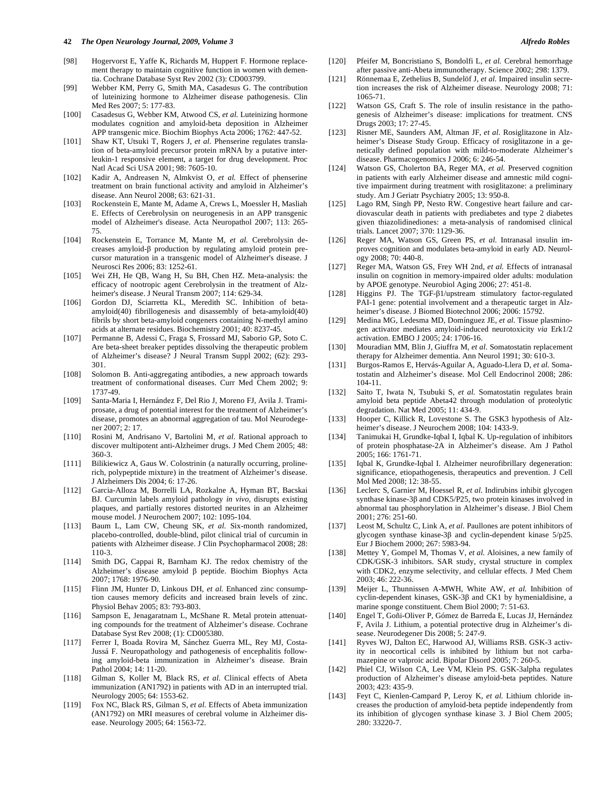#### **42** *The Open Neurology Journal, 2009, Volume 3 Alfredo Robles*

- [98] Hogervorst E, Yaffe K, Richards M, Huppert F. Hormone replacement therapy to maintain cognitive function in women with dementia. Cochrane Database Syst Rev 2002 (3): CD003799.
- [99] Webber KM, Perry G, Smith MA, Casadesus G. The contribution of luteinizing hormone to Alzheimer disease pathogenesis. Clin Med Res 2007; 5: 177-83.
- [100] Casadesus G, Webber KM, Atwood CS, *et al.* Luteinizing hormone modulates cognition and amyloid-beta deposition in Alzheimer APP transgenic mice. Biochim Biophys Acta 2006; 1762: 447-52.
- [101] Shaw KT, Utsuki T, Rogers J, *et al*. Phenserine regulates translation of beta-amyloid precursor protein mRNA by a putative interleukin-1 responsive element, a target for drug development. Proc Natl Acad Sci USA 2001; 98: 7605-10.
- [102] Kadir A, Andreasen N, Almkvist O, *et al.* Effect of phenserine treatment on brain functional activity and amyloid in Alzheimer's disease. Ann Neurol 2008; 63: 621-31.
- [103] Rockenstein E, Mante M, Adame A, Crews L, Moessler H, Masliah E. Effects of Cerebrolysin on neurogenesis in an APP transgenic model of Alzheimer's disease. Acta Neuropathol 2007; 113: 265- 75.
- [104] Rockenstein E, Torrance M, Mante M, *et al.* Cerebrolysin decreases amyloid- $\beta$  production by regulating amyloid protein precursor maturation in a transgenic model of Alzheimer's disease. J Neurosci Res 2006; 83: 1252-61.
- [105] Wei ZH, He QB, Wang H, Su BH, Chen HZ. Meta-analysis: the efficacy of nootropic agent Cerebrolysin in the treatment of Alzheimer's disease. J Neural Transm 2007; 114: 629-34.
- [106] Gordon DJ, Sciarretta KL, Meredith SC. Inhibition of betaamyloid(40) fibrillogenesis and disassembly of beta-amyloid(40) fibrils by short beta-amyloid congeners containing N-methyl amino acids at alternate residues. Biochemistry 2001; 40: 8237-45.
- [107] Permanne B, Adessi C, Fraga S, Frossard MJ, Saborio GP, Soto C. Are beta-sheet breaker peptides dissolving the therapeutic problem of Alzheimer's disease? J Neural Transm Suppl 2002; (62): 293- 301.
- [108] Solomon B. Anti-aggregating antibodies, a new approach towards treatment of conformational diseases. Curr Med Chem 2002; 9: 1737-49.
- [109] Santa-Maria I, Hernández F, Del Rio J, Moreno FJ, Avila J. Tramiprosate, a drug of potential interest for the treatment of Alzheimer's disease, promotes an abnormal aggregation of tau. Mol Neurodegener 2007; 2: 17.
- [110] Rosini M, Andrisano V, Bartolini M, *et al.* Rational approach to discover multipotent anti-Alzheimer drugs. J Med Chem 2005; 48: 360-3.
- [111] Bilikiewicz A, Gaus W. Colostrinin (a naturally occurring, prolinerich, polypeptide mixture) in the treatment of Alzheimer's disease. J Alzheimers Dis 2004; 6: 17-26.
- [112] Garcia-Alloza M, Borrelli LA, Rozkalne A, Hyman BT, Bacskai BJ. Curcumin labels amyloid pathology *in vivo*, disrupts existing plaques, and partially restores distorted neurites in an Alzheimer mouse model. J Neurochem 2007; 102: 1095-104.
- [113] Baum L, Lam CW, Cheung SK, *et al*. Six-month randomized, placebo-controlled, double-blind, pilot clinical trial of curcumin in patients with Alzheimer disease. J Clin Psychopharmacol 2008; 28: 110-3.
- [114] Smith DG, Cappai R, Barnham KJ. The redox chemistry of the Alzheimer's disease amyloid  $\beta$  peptide. Biochim Biophys Acta 2007; 1768: 1976-90.
- [115] Flinn JM, Hunter D, Linkous DH, et al. Enhanced zinc consumption causes memory deficits and increased brain levels of zinc. Physiol Behav 2005; 83: 793-803.
- [116] Sampson E, Jenagaratnam L, McShane R. Metal protein attenuating compounds for the treatment of Alzheimer's disease. Cochrane Database Syst Rev 2008; (1): CD005380.
- [117] Ferrer I, Boada Rovira M, Sánchez Guerra ML, Rey MJ, Costa-Jussá F. Neuropathology and pathogenesis of encephalitis following amyloid-beta immunization in Alzheimer's disease. Brain Pathol 2004; 14: 11-20.
- [118] Gilman S, Koller M, Black RS, *et al.* Clinical effects of Abeta immunization (AN1792) in patients with AD in an interrupted trial. Neurology 2005; 64: 1553-62.
- [119] Fox NC, Black RS, Gilman S, *et al.* Effects of Abeta immunization (AN1792) on MRI measures of cerebral volume in Alzheimer disease. Neurology 2005; 64: 1563-72.
- [120] Pfeifer M, Boncristiano S, Bondolfi L, *et al.* Cerebral hemorrhage after passive anti-Abeta immunotherapy. Science 2002; 298: 1379.
- [121] Rönnemaa E, Zethelius B, Sundelöf J, *et al.* Impaired insulin secretion increases the risk of Alzheimer disease. Neurology 2008; 71: 1065-71.
- [122] Watson GS, Craft S. The role of insulin resistance in the pathogenesis of Alzheimer's disease: implications for treatment. CNS Drugs 2003; 17: 27-45.
- [123] Risner ME, Saunders AM, Altman JF, *et al*. Rosiglitazone in Alzheimer's Disease Study Group. Efficacy of rosiglitazone in a genetically defined population with mild-to-moderate Alzheimer's disease. Pharmacogenomics J 2006; 6: 246-54.
- [124] Watson GS, Cholerton BA, Reger MA, *et al.* Preserved cognition in patients with early Alzheimer disease and amnestic mild cognitive impairment during treatment with rosiglitazone: a preliminary study. Am J Geriatr Psychiatry 2005; 13: 950-8.
- [125] Lago RM, Singh PP, Nesto RW. Congestive heart failure and cardiovascular death in patients with prediabetes and type 2 diabetes given thiazolidinediones: a meta-analysis of randomised clinical trials. Lancet 2007; 370: 1129-36.
- [126] Reger MA, Watson GS, Green PS, *et al.* Intranasal insulin improves cognition and modulates beta-amyloid in early AD. Neurology 2008; 70: 440-8.
- [127] Reger MA, Watson GS, Frey WH 2nd, *et al.* Effects of intranasal insulin on cognition in memory-impaired older adults: modulation by APOE genotype. Neurobiol Aging 2006; 27: 451-8.
- [128] Higgins PJ. The TGF- $\beta$ 1/upstream stimulatory factor-regulated PAI-1 gene: potential involvement and a therapeutic target in Alzheimer's disease. J Biomed Biotechnol 2006; 2006: 15792.
- [129] Medina MG, Ledesma MD, Domínguez JE, *et al.* Tissue plasminogen activator mediates amyloid-induced neurotoxicity *via* Erk1/2 activation. EMBO J 2005; 24: 1706-16.
- [130] Mouradian MM, Blin J, Giuffra M, *et al.* Somatostatin replacement therapy for Alzheimer dementia. Ann Neurol 1991; 30: 610-3.
- [131] Burgos-Ramos E, Hervás-Aguilar A, Aguado-Llera D, *et al.* Somatostatin and Alzheimer's disease. Mol Cell Endocrinol 2008; 286: 104-11.
- [132] Saito T, Iwata N, Tsubuki S, *et al.* Somatostatin regulates brain amyloid beta peptide Abeta42 through modulation of proteolytic degradation. Nat Med 2005; 11: 434-9.
- [133] Hooper C, Killick R, Lovestone S. The GSK3 hypothesis of Alzheimer's disease. J Neurochem 2008; 104: 1433-9.
- [134] Tanimukai H, Grundke-Iqbal I, Iqbal K. Up-regulation of inhibitors of protein phosphatase-2A in Alzheimer's disease. Am J Pathol 2005; 166: 1761-71.
- [135] Iqbal K, Grundke-Iqbal I. Alzheimer neurofibrillary degeneration: significance, etiopathogenesis, therapeutics and prevention. J Cell Mol Med 2008; 12: 38-55.
- [136] Leclerc S, Garnier M, Hoessel R, *et al.* Indirubins inhibit glycogen synthase kinase-3 $\beta$  and CDK5/P25, two protein kinases involved in abnormal tau phosphorylation in Alzheimer's disease. J Biol Chem 2001; 276: 251-60.
- [137] Leost M, Schultz C, Link A, *et al.* Paullones are potent inhibitors of glycogen synthase kinase-3 $\beta$  and cyclin-dependent kinase 5/p25. Eur J Biochem 2000; 267: 5983-94.
- [138] Mettey Y, Gompel M, Thomas V, et al. Aloisines, a new family of CDK/GSK-3 inhibitors. SAR study, crystal structure in complex with CDK2, enzyme selectivity, and cellular effects. J Med Chem 2003; 46: 222-36.
- [139] Meijer L, Thunnissen A-MWH, White AW, *et al.* Inhibition of cyclin-dependent kinases,  $GSK-3\beta$  and  $CK1$  by hymenialdisine, a marine sponge constituent. Chem Biol 2000; 7: 51-63.
- [140] Engel T, Goñi-Oliver P, Gómez de Barreda E, Lucas JJ, Hernández F, Avila J. Lithium, a potential protective drug in Alzheimer's disease. Neurodegener Dis 2008; 5: 247-9.
- [141] Ryves WJ, Dalton EC, Harwood AJ, Williams RSB. GSK-3 activity in neocortical cells is inhibited by lithium but not carbamazepine or valproic acid. Bipolar Disord 2005; 7: 260-5.
- [142] Phiel CJ, Wilson CA, Lee VM, Klein PS. GSK-3alpha regulates production of Alzheimer's disease amyloid-beta peptides. Nature 2003; 423: 435-9.
- [143] Feyt C, Kienlen-Campard P, Leroy K, *et al.* Lithium chloride increases the production of amyloid-beta peptide independently from its inhibition of glycogen synthase kinase 3. J Biol Chem 2005; 280: 33220-7.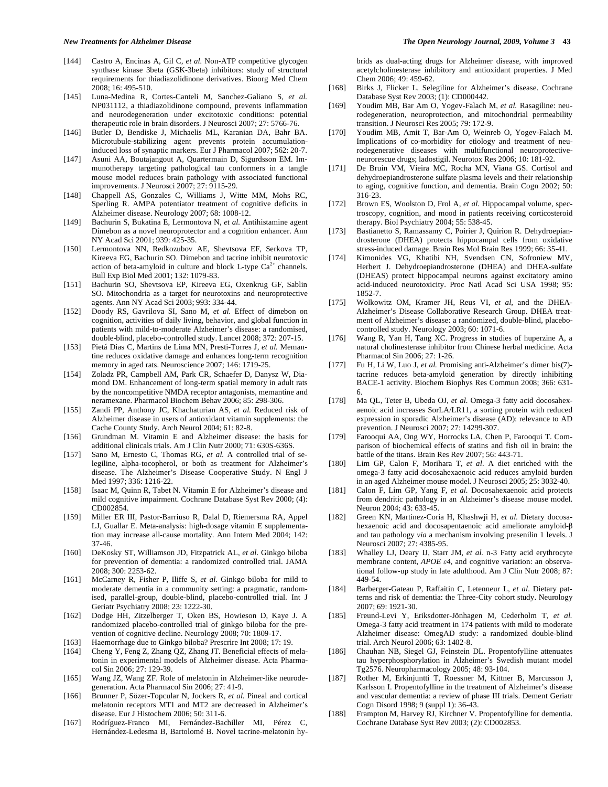- [144] Castro A, Encinas A, Gil C, *et al.* Non-ATP competitive glycogen synthase kinase 3beta (GSK-3beta) inhibitors: study of structural requirements for thiadiazolidinone derivatives. Bioorg Med Chem 2008; 16: 495-510.
- [145] Luna-Medina R, Cortes-Canteli M, Sanchez-Galiano S, *et al.* NP031112, a thiadiazolidinone compound, prevents inflammation and neurodegeneration under excitotoxic conditions: potential therapeutic role in brain disorders. J Neurosci 2007; 27: 5766-76.
- [146] Butler D, Bendiske J, Michaelis ML, Karanian DA, Bahr BA. Microtubule-stabilizing agent prevents protein accumulationinduced loss of synaptic markers. Eur J Pharmacol 2007; 562: 20-7.
- [147] Asuni AA, Boutajangout A, Quartermain D, Sigurdsson EM. Immunotherapy targeting pathological tau conformers in a tangle mouse model reduces brain pathology with associated functional improvements. J Neurosci 2007; 27: 9115-29.
- [148] Chappell AS, Gonzales C, Williams J, Witte MM, Mohs RC, Sperling R. AMPA potentiator treatment of cognitive deficits in Alzheimer disease. Neurology 2007; 68: 1008-12.
- [149] Bachurin S, Bukatina E, Lermontova N, *et al.* Antihistamine agent Dimebon as a novel neuroprotector and a cognition enhancer. Ann NY Acad Sci 2001; 939: 425-35.
- [150] Lermontova NN, Redkozubov AE, Shevtsova EF, Serkova TP, Kireeva EG, Bachurin SO. Dimebon and tacrine inhibit neurotoxic action of beta-amyloid in culture and block L-type  $Ca^{2+}$  channels. Bull Exp Biol Med 2001; 132: 1079-83.
- [151] Bachurin SO, Shevtsova EP, Kireeva EG, Oxenkrug GF, Sablin SO. Mitochondria as a target for neurotoxins and neuroprotective agents. Ann NY Acad Sci 2003; 993: 334-44.
- [152] Doody RS, Gavrilova SI, Sano M, *et al.* Effect of dimebon on cognition, activities of daily living, behavior, and global function in patients with mild-to-moderate Alzheimer's disease: a randomised, double-blind, placebo-controlled study. Lancet 2008; 372: 207-15.
- [153] Pietá Dias C, Martins de Lima MN, Presti-Torres J, *et al.* Memantine reduces oxidative damage and enhances long-term recognition memory in aged rats. Neuroscience 2007; 146: 1719-25.
- [154] Zoladz PR, Campbell AM, Park CR, Schaefer D, Danysz W, Diamond DM. Enhancement of long-term spatial memory in adult rats by the noncompetitive NMDA receptor antagonists, memantine and neramexane. Pharmacol Biochem Behav 2006; 85: 298-306.
- [155] Zandi PP, Anthony JC, Khachaturian AS, *et al.* Reduced risk of Alzheimer disease in users of antioxidant vitamin supplements: the Cache County Study. Arch Neurol 2004; 61: 82-8.
- [156] Grundman M. Vitamin E and Alzheimer disease: the basis for additional clinicals trials. Am J Clin Nutr 2000; 71: 630S-636S.
- [157] Sano M, Ernesto C, Thomas RG, et al. A controlled trial of selegiline, alpha-tocopherol, or both as treatment for Alzheimer's disease. The Alzheimer's Disease Cooperative Study. N Engl J Med 1997; 336: 1216-22.
- [158] Isaac M, Quinn R, Tabet N. Vitamin E for Alzheimer's disease and mild cognitive impairment. Cochrane Database Syst Rev 2000; (4): CD002854.
- [159] Miller ER III, Pastor-Barriuso R, Dalal D, Riemersma RA, Appel LJ, Guallar E. Meta-analysis: high-dosage vitamin E supplementation may increase all-cause mortality. Ann Intern Med 2004; 142: 37-46.
- [160] DeKosky ST, Williamson JD, Fitzpatrick AL, *et al.* Ginkgo biloba for prevention of dementia: a randomized controlled trial. JAMA 2008; 300: 2253-62.
- [161] McCarney R, Fisher P, Iliffe S, *et al.* Ginkgo biloba for mild to moderate dementia in a community setting: a pragmatic, randomised, parallel-group, double-blind, placebo-controlled trial. Int J Geriatr Psychiatry 2008; 23: 1222-30.
- [162] Dodge HH, Zitzelberger T, Oken BS, Howieson D, Kaye J. A randomized placebo-controlled trial of ginkgo biloba for the prevention of cognitive decline. Neurology 2008; 70: 1809-17.
- [163] Haemorrhage due to Ginkgo biloba? Prescrire Int 2008; 17: 19.
- [164] Cheng Y, Feng Z, Zhang QZ, Zhang JT. Beneficial effects of melatonin in experimental models of Alzheimer disease. Acta Pharmacol Sin 2006; 27: 129-39.
- [165] Wang JZ, Wang ZF. Role of melatonin in Alzheimer-like neurodegeneration. Acta Pharmacol Sin 2006; 27: 41-9.
- [166] Brunner P, Sözer-Topcular N, Jockers R, *et al.* Pineal and cortical melatonin receptors MT1 and MT2 are decreased in Alzheimer's disease. Eur J Histochem 2006; 50: 311-6.
- [167] Rodríguez-Franco MI, Fernández-Bachiller MI, Pérez C, Hernández-Ledesma B, Bartolomé B. Novel tacrine-melatonin hy-

brids as dual-acting drugs for Alzheimer disease, with improved acetylcholinesterase inhibitory and antioxidant properties. J Med Chem 2006; 49: 459-62.

- [168] Birks J, Flicker L. Selegiline for Alzheimer's disease. Cochrane Database Syst Rev 2003; (1): CD000442.
- [169] Youdim MB, Bar Am O, Yogev-Falach M, *et al.* Rasagiline: neurodegeneration, neuroprotection, and mitochondrial permeability transition. J Neurosci Res 2005; 79: 172-9.
- [170] Youdim MB, Amit T, Bar-Am O, Weinreb O, Yogev-Falach M. Implications of co-morbidity for etiology and treatment of neurodegenerative diseases with multifunctional neuroprotectiveneurorescue drugs; ladostigil. Neurotox Res 2006; 10: 181-92.
- [171] De Bruin VM, Vieira MC, Rocha MN, Viana GS. Cortisol and dehydroepiandrosterone sulfate plasma levels and their relationship to aging, cognitive function, and dementia. Brain Cogn 2002; 50: 316-23.
- [172] Brown ES, Woolston D, Frol A, *et al.* Hippocampal volume, spectroscopy, cognition, and mood in patients receiving corticosteroid therapy. Biol Psychiatry 2004; 55: 538-45.
- [173] Bastianetto S, Ramassamy C, Poirier J, Quirion R. Dehydroepiandrosterone (DHEA) protects hippocampal cells from oxidative stress-induced damage. Brain Res Mol Brain Res 1999; 66: 35-41.
- [174] Kimonides VG, Khatibi NH, Svendsen CN, Sofroniew MV, Herbert J. Dehydroepiandrosterone (DHEA) and DHEA-sulfate (DHEAS) protect hippocampal neurons against excitatory amino acid-induced neurotoxicity. Proc Natl Acad Sci USA 1998; 95: 1852-7.
- [175] Wolkowitz OM, Kramer JH, Reus VI, *et al*, and the DHEA-Alzheimer's Disease Collaborative Research Group. DHEA treatment of Alzheimer's disease: a randomized, double-blind, placebocontrolled study. Neurology 2003; 60: 1071-6.
- [176] Wang R, Yan H, Tang XC. Progress in studies of huperzine A, a natural cholinesterase inhibitor from Chinese herbal medicine. Acta Pharmacol Sin 2006; 27: 1-26.
- [177] Fu H, Li W, Luo J, *et al.* Promising anti-Alzheimer's dimer bis(7) tacrine reduces beta-amyloid generation by directly inhibiting BACE-1 activity. Biochem Biophys Res Commun 2008; 366: 631- 6.
- [178] Ma QL, Teter B, Ubeda OJ, *et al.* Omega-3 fatty acid docosahexaenoic acid increases SorLA/LR11, a sorting protein with reduced expression in sporadic Alzheimer's disease (AD): relevance to AD prevention. J Neurosci 2007; 27: 14299-307.
- [179] Farooqui AA, Ong WY, Horrocks LA, Chen P, Farooqui T. Comparison of biochemical effects of statins and fish oil in brain: the battle of the titans. Brain Res Rev 2007; 56: 443-71.
- [180] Lim GP, Calon F, Morihara T, *et al.* A diet enriched with the omega-3 fatty acid docosahexaenoic acid reduces amyloid burden in an aged Alzheimer mouse model. J Neurosci 2005; 25: 3032-40.
- [181] Calon F, Lim GP, Yang F, *et al.* Docosahexaenoic acid protects from dendritic pathology in an Alzheimer's disease mouse model. Neuron 2004; 43: 633-45.
- [182] Green KN, Martinez-Coria H, Khashwji H, *et al.* Dietary docosahexaenoic acid and docosapentaenoic acid ameliorate amyloid- $\beta$ and tau pathology *via* a mechanism involving presenilin 1 levels. J Neurosci 2007; 27: 4385-95.
- [183] Whalley LJ, Deary IJ, Starr JM, *et al.* n-3 Fatty acid erythrocyte membrane content, *APOE 4*, and cognitive variation: an observational follow-up study in late adulthood. Am J Clin Nutr 2008; 87: 449-54.
- [184] Barberger-Gateau P, Raffaitin C, Letenneur L, *et al*. Dietary patterns and risk of dementia: the Three-City cohort study. Neurology 2007; 69: 1921-30.
- [185] Freund-Levi Y, Eriksdotter-Jönhagen M, Cederholm T, *et al.* Omega-3 fatty acid treatment in 174 patients with mild to moderate Alzheimer disease: OmegAD study: a randomized double-blind trial. Arch Neurol 2006; 63: 1402-8.
- [186] Chauhan NB, Siegel GJ, Feinstein DL. Propentofylline attenuates tau hyperphosphorylation in Alzheimer's Swedish mutant model Tg2576. Neuropharmacology 2005; 48: 93-104.
- [187] Rother M, Erkinjuntti T, Roessner M, Kittner B, Marcusson J, Karlsson I. Propentofylline in the treatment of Alzheimer's disease and vascular dementia: a review of phase III trials. Dement Geriatr Cogn Disord 1998; 9 (suppl 1): 36-43.
- [188] Frampton M, Harvey RJ, Kirchner V. Propentofylline for dementia. Cochrane Database Syst Rev 2003; (2): CD002853.